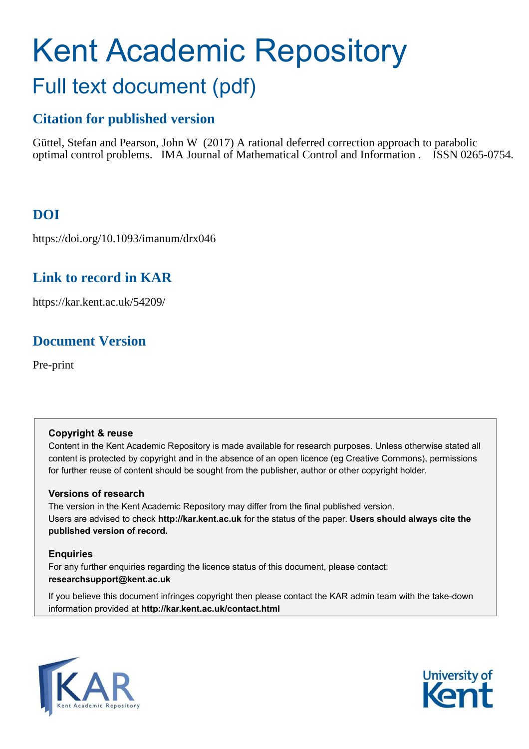# Kent Academic Repository Full text document (pdf)

# **Citation for published version**

Güttel, Stefan and Pearson, John W (2017) A rational deferred correction approach to parabolic optimal control problems. IMA Journal of Mathematical Control and Information . ISSN 0265-0754.

# **DOI**

https://doi.org/10.1093/imanum/drx046

# **Link to record in KAR**

https://kar.kent.ac.uk/54209/

# **Document Version**

Pre-print

# **Copyright & reuse**

Content in the Kent Academic Repository is made available for research purposes. Unless otherwise stated all content is protected by copyright and in the absence of an open licence (eg Creative Commons), permissions for further reuse of content should be sought from the publisher, author or other copyright holder.

# **Versions of research**

The version in the Kent Academic Repository may differ from the final published version. Users are advised to check **http://kar.kent.ac.uk** for the status of the paper. **Users should always cite the published version of record.**

# <span id="page-0-0"></span>**Enquiries**

For any further enquiries regarding the licence status of this document, please contact: **researchsupport@kent.ac.uk**

If you believe this document infringes copyright then please contact the KAR admin team with the take-down information provided at **http://kar.kent.ac.uk/contact.html**



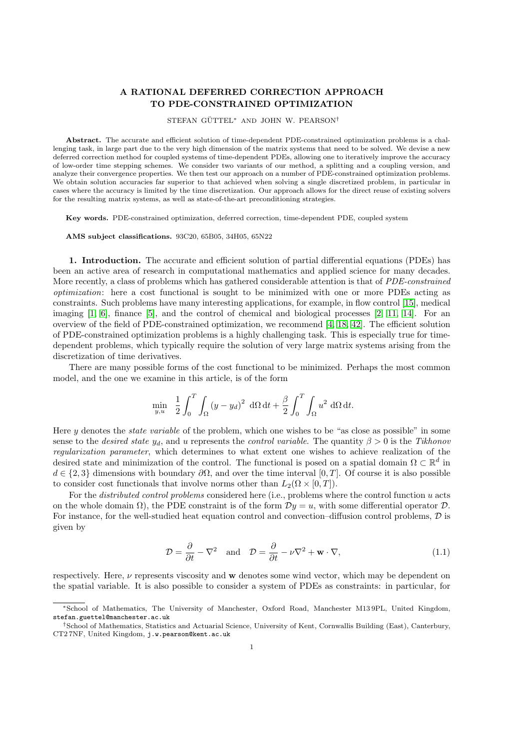## A RATIONAL DEFERRED CORRECTION APPROACH TO PDE-CONSTRAINED OPTIMIZATION

### STEFAN GÜTTEL\* AND JOHN W. PEARSON<sup>†</sup>

Abstract. The accurate and efficient solution of time-dependent PDE-constrained optimization problems is a challenging task, in large part due to the very high dimension of the matrix systems that need to be solved. We devise a new deferred correction method for coupled systems of time-dependent PDEs, allowing one to iteratively improve the accuracy of low-order time stepping schemes. We consider two variants of our method, a splitting and a coupling version, and analyze their convergence properties. We then test our approach on a number of PDE-constrained optimization problems. We obtain solution accuracies far superior to that achieved when solving a single discretized problem, in particular in cases where the accuracy is limited by the time discretization. Our approach allows for the direct reuse of existing solvers for the resulting matrix systems, as well as state-of-the-art preconditioning strategies.

Key words. PDE-constrained optimization, deferred correction, time-dependent PDE, coupled system

AMS subject classifications. 93C20, 65B05, 34H05, 65N22

1. Introduction. The accurate and efficient solution of partial differential equations (PDEs) has been an active area of research in computational mathematics and applied science for many decades. More recently, a class of problems which has gathered considerable attention is that of PDE-constrained optimization: here a cost functional is sought to be minimized with one or more PDEs acting as constraints. Such problems have many interesting applications, for example, in flow control [\[15\]](#page-21-0), medical imaging  $[1, 6]$  $[1, 6]$ , finance  $[5]$ , and the control of chemical and biological processes  $[2, 11, 14]$  $[2, 11, 14]$  $[2, 11, 14]$ . For an overview of the field of PDE-constrained optimization, we recommend [\[4,](#page-21-7) [18,](#page-22-0) [42\]](#page-22-1). The efficient solution of PDE-constrained optimization problems is a highly challenging task. This is especially true for timedependent problems, which typically require the solution of very large matrix systems arising from the discretization of time derivatives.

There are many possible forms of the cost functional to be minimized. Perhaps the most common model, and the one we examine in this article, is of the form

$$
\min_{y,u} \quad \frac{1}{2} \int_0^T \int_{\Omega} (y - y_d)^2 \, d\Omega \, dt + \frac{\beta}{2} \int_0^T \int_{\Omega} u^2 \, d\Omega \, dt.
$$

Here y denotes the state variable of the problem, which one wishes to be "as close as possible" in some sense to the *desired state*  $y_d$ , and u represents the *control variable*. The quantity  $\beta > 0$  is the Tikhonov regularization parameter, which determines to what extent one wishes to achieve realization of the desired state and minimization of the control. The functional is posed on a spatial domain  $\Omega \subset \mathbb{R}^d$  in  $d \in \{2,3\}$  dimensions with boundary  $\partial\Omega$ , and over the time interval [0, T]. Of course it is also possible to consider cost functionals that involve norms other than  $L_2(\Omega \times [0, T])$ .

For the *distributed control problems* considered here (i.e., problems where the control function u acts on the whole domain  $\Omega$ ), the PDE constraint is of the form  $\mathcal{D}y = u$ , with some differential operator  $\mathcal{D}$ . For instance, for the well-studied heat equation control and convection–diffusion control problems, D is given by

$$
\mathcal{D} = \frac{\partial}{\partial t} - \nabla^2 \quad \text{and} \quad \mathcal{D} = \frac{\partial}{\partial t} - \nu \nabla^2 + \mathbf{w} \cdot \nabla,
$$
\n(1.1)

respectively. Here,  $\nu$  represents viscosity and w denotes some wind vector, which may be dependent on the spatial variable. It is also possible to consider a system of PDEs as constraints: in particular, for

<sup>∗</sup>School of Mathematics, The University of Manchester, Oxford Road, Manchester M13 9PL, United Kingdom, stefan.guettel@manchester.ac.uk

<span id="page-1-0"></span><sup>†</sup>School of Mathematics, Statistics and Actuarial Science, University of Kent, Cornwallis Building (East), Canterbury, CT2 7NF, United Kingdom, j.w.pearson@kent.ac.uk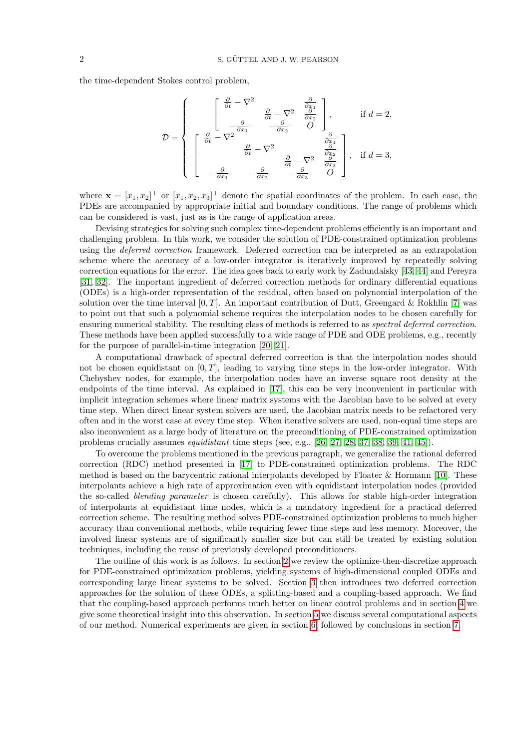the time-dependent Stokes control problem,

<span id="page-2-2"></span>
$$
\mathcal{D} = \left\{ \begin{bmatrix} \frac{\partial}{\partial t} - \nabla^2 & \frac{\partial}{\partial x_1} \\ -\frac{\partial}{\partial x_1} & -\frac{\partial}{\partial x_2} & O \end{bmatrix}, \quad \text{if } d = 2,
$$
  

$$
\mathcal{D} = \left\{ \begin{bmatrix} \frac{\partial}{\partial t} - \nabla^2 & \frac{\partial}{\partial x_1} & \frac{\partial}{\partial x_2} \\ \frac{\partial}{\partial t} - \nabla^2 & \frac{\partial}{\partial x_1} & \frac{\partial}{\partial x_2} \\ -\frac{\partial}{\partial x_1} & -\frac{\partial}{\partial x_2} & -\frac{\partial}{\partial x_3} & O \end{bmatrix}, \quad \text{if } d = 3,
$$

where  $\mathbf{x} = [x_1, x_2]^\top$  or  $[x_1, x_2, x_3]^\top$  denote the spatial coordinates of the problem. In each case, the PDEs are accompanied by appropriate initial and boundary conditions. The range of problems which can be considered is vast, just as is the range of application areas.

Devising strategies for solving such complex time-dependent problems efficiently is an important and challenging problem. In this work, we consider the solution of PDE-constrained optimization problems using the deferred correction framework. Deferred correction can be interpreted as an extrapolation scheme where the accuracy of a low-order integrator is iteratively improved by repeatedly solving correction equations for the error. The idea goes back to early work by Zadundaisky [\[43,](#page-22-2) [44\]](#page-22-3) and Pereyra [\[31,](#page-22-4) [32\]](#page-22-5). The important ingredient of deferred correction methods for ordinary differential equations (ODEs) is a high-order representation of the residual, often based on polynomial interpolation of the solution over the time interval  $[0, T]$ . An important contribution of Dutt, Greengard & Rokhlin [\[7\]](#page-21-8) was to point out that such a polynomial scheme requires the interpolation nodes to be chosen carefully for ensuring numerical stability. The resulting class of methods is referred to as spectral deferred correction. These methods have been applied successfully to a wide range of PDE and ODE problems, e.g., recently for the purpose of parallel-in-time integration [\[20,](#page-22-6) [21\]](#page-22-7).

A computational drawback of spectral deferred correction is that the interpolation nodes should not be chosen equidistant on  $[0, T]$ , leading to varying time steps in the low-order integrator. With Chebyshev nodes, for example, the interpolation nodes have an inverse square root density at the endpoints of the time interval. As explained in [\[17\]](#page-22-8), this can be very inconvenient in particular with implicit integration schemes where linear matrix systems with the Jacobian have to be solved at every time step. When direct linear system solvers are used, the Jacobian matrix needs to be refactored very often and in the worst case at every time step. When iterative solvers are used, non-equal time steps are also inconvenient as a large body of literature on the preconditioning of PDE-constrained optimization problems crucially assumes *equidistant* time steps (see, e.g., [\[26,](#page-22-9) [27,](#page-22-10) [28,](#page-22-11) [37,](#page-22-12) [38,](#page-22-13) [39,](#page-22-14) [41,](#page-22-15) [45\]](#page-22-16)).

To overcome the problems mentioned in the previous paragraph, we generalize the rational deferred correction (RDC) method presented in [\[17\]](#page-22-8) to PDE-constrained optimization problems. The RDC method is based on the barycentric rational interpolants developed by Floater & Hormann [\[10\]](#page-21-9). These interpolants achieve a high rate of approximation even with equidistant interpolation nodes (provided the so-called blending parameter is chosen carefully). This allows for stable high-order integration of interpolants at equidistant time nodes, which is a mandatory ingredient for a practical deferred correction scheme. The resulting method solves PDE-constrained optimization problems to much higher accuracy than conventional methods, while requiring fewer time steps and less memory. Moreover, the involved linear systems are of significantly smaller size but can still be treated by existing solution techniques, including the reuse of previously developed preconditioners.

<span id="page-2-1"></span><span id="page-2-0"></span>The outline of this work is as follows. In section [2](#page-1-0) we review the optimize-then-discretize approach for PDE-constrained optimization problems, yielding systems of high-dimensional coupled ODEs and corresponding large linear systems to be solved. Section [3](#page-6-0) then introduces two deferred correction approaches for the solution of these ODEs, a splitting-based and a coupling-based approach. We find that the coupling-based approach performs much better on linear control problems and in section [4](#page-9-0) we give some theoretical insight into this observation. In section [5](#page-12-0) we discuss several computational aspects of our method. Numerical experiments are given in section [6,](#page-14-0) followed by conclusions in section [7.](#page-20-0)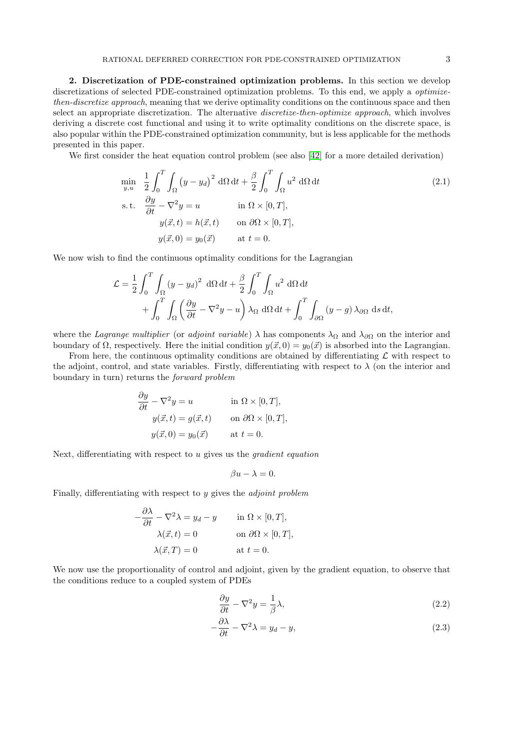<span id="page-3-2"></span><span id="page-3-1"></span><span id="page-3-0"></span>

2. Discretization of PDE-constrained optimization problems. In this section we develop discretizations of selected PDE-constrained optimization problems. To this end, we apply a optimizethen-discretize approach, meaning that we derive optimality conditions on the continuous space and then select an appropriate discretization. The alternative *discretize-then-optimize approach*, which involves deriving a discrete cost functional and using it to write optimality conditions on the discrete space, is also popular within the PDE-constrained optimization community, but is less applicable for the methods presented in this paper.

We first consider the heat equation control problem (see also [\[42\]](#page-22-1) for a more detailed derivation)

$$
\min_{y,u} \quad \frac{1}{2} \int_0^T \int_{\Omega} (y - y_d)^2 \, d\Omega \, dt + \frac{\beta}{2} \int_0^T \int_{\Omega} u^2 \, d\Omega \, dt
$$
\n
$$
\text{s.t.} \quad \frac{\partial y}{\partial t} - \nabla^2 y = u \qquad \text{in } \Omega \times [0, T],
$$
\n
$$
y(\vec{x}, t) = h(\vec{x}, t) \qquad \text{on } \partial\Omega \times [0, T],
$$
\n
$$
y(\vec{x}, 0) = y_0(\vec{x}) \qquad \text{at } t = 0.
$$
\n(2.1)

We now wish to find the continuous optimality conditions for the Lagrangian

$$
\mathcal{L} = \frac{1}{2} \int_0^T \int_{\Omega} (y - y_d)^2 \ d\Omega dt + \frac{\beta}{2} \int_0^T \int_{\Omega} u^2 \ d\Omega dt + \int_0^T \int_{\Omega} \left( \frac{\partial y}{\partial t} - \nabla^2 y - u \right) \lambda_{\Omega} d\Omega dt + \int_0^T \int_{\partial \Omega} (y - g) \lambda_{\partial \Omega} ds dt,
$$

where the Lagrange multiplier (or adjoint variable)  $\lambda$  has components  $\lambda_{\Omega}$  and  $\lambda_{\partial\Omega}$  on the interior and boundary of  $\Omega$ , respectively. Here the initial condition  $y(\vec{x}, 0) = y_0(\vec{x})$  is absorbed into the Lagrangian.

From here, the continuous optimality conditions are obtained by differentiating  $\mathcal L$  with respect to the adjoint, control, and state variables. Firstly, differentiating with respect to  $\lambda$  (on the interior and boundary in turn) returns the forward problem

$$
\frac{\partial y}{\partial t} - \nabla^2 y = u \quad \text{in } \Omega \times [0, T],
$$
  
\n
$$
y(\vec{x}, t) = g(\vec{x}, t) \quad \text{on } \partial\Omega \times [0, T],
$$
  
\n
$$
y(\vec{x}, 0) = y_0(\vec{x}) \quad \text{at } t = 0.
$$

Next, differentiating with respect to  $u$  gives us the *gradient equation* 

$$
\beta u - \lambda = 0.
$$

Finally, differentiating with respect to y gives the adjoint problem

$$
-\frac{\partial \lambda}{\partial t} - \nabla^2 \lambda = y_d - y \quad \text{in } \Omega \times [0, T],
$$

$$
\lambda(\vec{x}, t) = 0 \quad \text{on } \partial \Omega \times [0, T],
$$

$$
\lambda(\vec{x}, T) = 0 \quad \text{at } t = 0.
$$

We now use the proportionality of control and adjoint, given by the gradient equation, to observe that the conditions reduce to a coupled system of PDEs

$$
\frac{\partial y}{\partial t} - \nabla^2 y = \frac{1}{\beta} \lambda,\tag{2.2}
$$

$$
-\frac{\partial \lambda}{\partial t} - \nabla^2 \lambda = y_d - y,\tag{2.3}
$$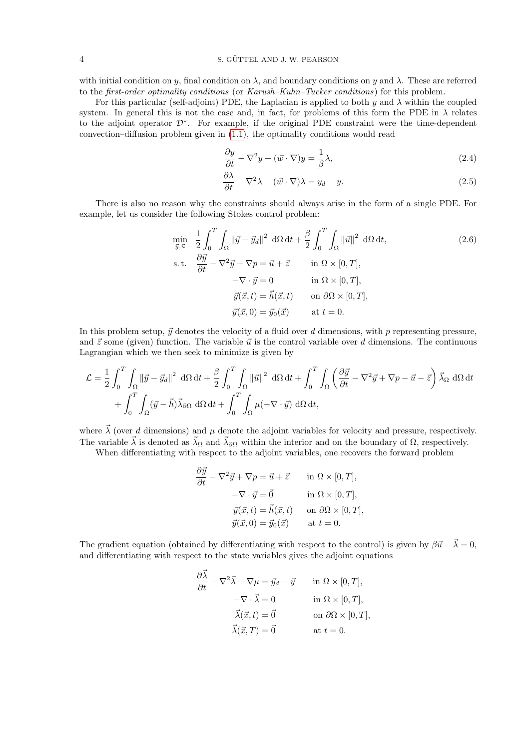with initial condition on y, final condition on  $\lambda$ , and boundary conditions on y and  $\lambda$ . These are referred to the first-order optimality conditions (or Karush–Kuhn–Tucker conditions) for this problem.

For this particular (self-adjoint) PDE, the Laplacian is applied to both  $y$  and  $\lambda$  within the coupled system. In general this is not the case and, in fact, for problems of this form the PDE in  $\lambda$  relates to the adjoint operator D<sup>∗</sup> . For example, if the original PDE constraint were the time-dependent convection–diffusion problem given in [\(1.1\)](#page-0-0), the optimality conditions would read

<span id="page-4-1"></span><span id="page-4-0"></span>
$$
\frac{\partial y}{\partial t} - \nabla^2 y + (\vec{w} \cdot \nabla)y = \frac{1}{\beta} \lambda,\tag{2.4}
$$

<span id="page-4-3"></span><span id="page-4-2"></span>
$$
-\frac{\partial \lambda}{\partial t} - \nabla^2 \lambda - (\vec{w} \cdot \nabla)\lambda = y_d - y.
$$
\n(2.5)

There is also no reason why the constraints should always arise in the form of a single PDE. For example, let us consider the following Stokes control problem:

$$
\min_{\vec{y}, \vec{u}} \quad \frac{1}{2} \int_0^T \int_{\Omega} ||\vec{y} - \vec{y}_d||^2 \, d\Omega \, dt + \frac{\beta}{2} \int_0^T \int_{\Omega} ||\vec{u}||^2 \, d\Omega \, dt,
$$
\n
$$
\text{s.t.} \quad \frac{\partial \vec{y}}{\partial t} - \nabla^2 \vec{y} + \nabla p = \vec{u} + \vec{z} \qquad \text{in } \Omega \times [0, T],
$$
\n
$$
-\nabla \cdot \vec{y} = 0 \qquad \text{in } \Omega \times [0, T],
$$
\n
$$
\vec{y}(\vec{x}, t) = \vec{h}(\vec{x}, t) \qquad \text{on } \partial \Omega \times [0, T],
$$
\n
$$
\vec{y}(\vec{x}, 0) = \vec{y}_0(\vec{x}) \qquad \text{at } t = 0.
$$
\n(2.6)

In this problem setup,  $\vec{y}$  denotes the velocity of a fluid over d dimensions, with p representing pressure, and  $\vec{z}$  some (given) function. The variable  $\vec{u}$  is the control variable over d dimensions. The continuous Lagrangian which we then seek to minimize is given by

$$
\mathcal{L} = \frac{1}{2} \int_0^T \int_{\Omega} ||\vec{y} - \vec{y}_d||^2 d\Omega dt + \frac{\beta}{2} \int_0^T \int_{\Omega} ||\vec{u}||^2 d\Omega dt + \int_0^T \int_{\Omega} \left(\frac{\partial \vec{y}}{\partial t} - \nabla^2 \vec{y} + \nabla p - \vec{u} - \vec{z}\right) \vec{\lambda}_{\Omega} d\Omega dt
$$
  
+ 
$$
\int_0^T \int_{\Omega} (\vec{y} - \vec{h}) \vec{\lambda}_{\partial \Omega} d\Omega dt + \int_0^T \int_{\Omega} \mu(-\nabla \cdot \vec{y}) d\Omega dt,
$$

where  $\vec{\lambda}$  (over d dimensions) and  $\mu$  denote the adjoint variables for velocity and pressure, respectively. The variable  $\vec{\lambda}$  is denoted as  $\vec{\lambda}_{\Omega}$  and  $\vec{\lambda}_{\partial\Omega}$  within the interior and on the boundary of  $\Omega$ , respectively.

When differentiating with respect to the adjoint variables, one recovers the forward problem

$$
\frac{\partial \vec{y}}{\partial t} - \nabla^2 \vec{y} + \nabla p = \vec{u} + \vec{z} \quad \text{in } \Omega \times [0, T],
$$
  
\n
$$
-\nabla \cdot \vec{y} = \vec{0} \quad \text{in } \Omega \times [0, T],
$$
  
\n
$$
\vec{y}(\vec{x}, t) = \vec{h}(\vec{x}, t) \quad \text{on } \partial \Omega \times [0, T],
$$
  
\n
$$
\vec{y}(\vec{x}, 0) = \vec{y}_0(\vec{x}) \quad \text{at } t = 0.
$$

The gradient equation (obtained by differentiating with respect to the control) is given by  $\beta \vec{u} - \vec{\lambda} = 0$ , and differentiating with respect to the state variables gives the adjoint equations

$$
-\frac{\partial \vec{\lambda}}{\partial t} - \nabla^2 \vec{\lambda} + \nabla \mu = \vec{y}_d - \vec{y} \quad \text{in } \Omega \times [0, T],
$$
  
\n
$$
-\nabla \cdot \vec{\lambda} = 0 \quad \text{in } \Omega \times [0, T],
$$
  
\n
$$
\vec{\lambda}(\vec{x}, t) = \vec{0} \quad \text{on } \partial \Omega \times [0, T],
$$
  
\n
$$
\vec{\lambda}(\vec{x}, T) = \vec{0} \quad \text{at } t = 0.
$$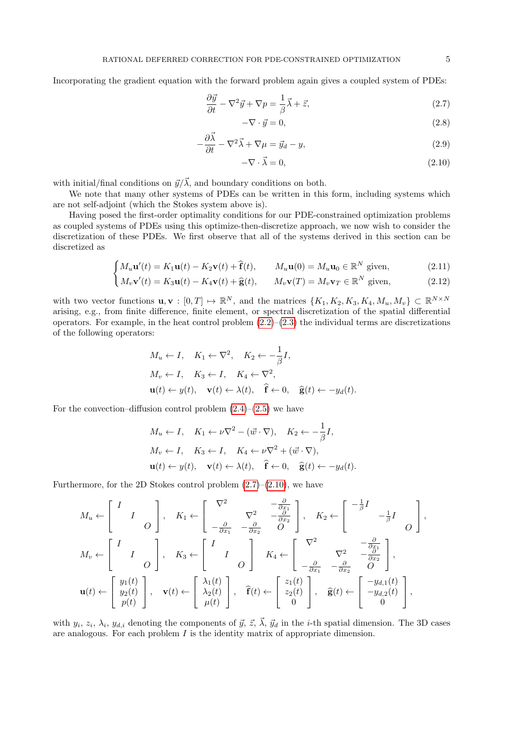Incorporating the gradient equation with the forward problem again gives a coupled system of PDEs:

$$
\frac{\partial \vec{y}}{\partial t} - \nabla^2 \vec{y} + \nabla p = \frac{1}{\beta} \vec{\lambda} + \vec{z},\tag{2.7}
$$

$$
-\nabla \cdot \vec{y} = 0,\t\t(2.8)
$$

$$
-\frac{\partial \vec{\lambda}}{\partial t} - \nabla^2 \vec{\lambda} + \nabla \mu = \vec{y}_d - y,\tag{2.9}
$$

$$
-\nabla \cdot \vec{\lambda} = 0,\tag{2.10}
$$

with initial/final conditions on  $\vec{y}/\vec{\lambda}$ , and boundary conditions on both.

We note that many other systems of PDEs can be written in this form, including systems which are not self-adjoint (which the Stokes system above is).

Having posed the first-order optimality conditions for our PDE-constrained optimization problems as coupled systems of PDEs using this optimize-then-discretize approach, we now wish to consider the discretization of these PDEs. We first observe that all of the systems derived in this section can be discretized as

<span id="page-5-0"></span>
$$
\begin{cases}\nM_u \mathbf{u}'(t) = K_1 \mathbf{u}(t) - K_2 \mathbf{v}(t) + \hat{\mathbf{f}}(t), & M_u \mathbf{u}(0) = M_u \mathbf{u}_0 \in \mathbb{R}^N \text{ given},\n\end{cases}
$$
\n(2.11)

$$
\left(M_v \mathbf{v}'(t) = K_3 \mathbf{u}(t) - K_4 \mathbf{v}(t) + \hat{\mathbf{g}}(t), \qquad M_v \mathbf{v}(T) = M_v \mathbf{v}_T \in \mathbb{R}^N \text{ given},\right)
$$
(2.12)

with two vector functions  $\mathbf{u}, \mathbf{v} : [0, T] \mapsto \mathbb{R}^N$ , and the matrices  $\{K_1, K_2, K_3, K_4, M_u, M_v\} \subset \mathbb{R}^{N \times N}$ arising, e.g., from finite difference, finite element, or spectral discretization of the spatial differential operators. For example, in the heat control problem  $(2.2)$ – $(2.3)$  the individual terms are discretizations of the following operators:

$$
M_u \leftarrow I, \quad K_1 \leftarrow \nabla^2, \quad K_2 \leftarrow -\frac{1}{\beta}I,
$$
  
\n
$$
M_v \leftarrow I, \quad K_3 \leftarrow I, \quad K_4 \leftarrow \nabla^2,
$$
  
\n
$$
\mathbf{u}(t) \leftarrow y(t), \quad \mathbf{v}(t) \leftarrow \lambda(t), \quad \hat{\mathbf{f}} \leftarrow 0, \quad \hat{\mathbf{g}}(t) \leftarrow -y_d(t).
$$

For the convection–diffusion control problem  $(2.4)$ – $(2.5)$  we have

$$
M_u \leftarrow I, \quad K_1 \leftarrow \nu \nabla^2 - (\vec{w} \cdot \nabla), \quad K_2 \leftarrow -\frac{1}{\beta} I,
$$
  
\n
$$
M_v \leftarrow I, \quad K_3 \leftarrow I, \quad K_4 \leftarrow \nu \nabla^2 + (\vec{w} \cdot \nabla),
$$
  
\n
$$
\mathbf{u}(t) \leftarrow y(t), \quad \mathbf{v}(t) \leftarrow \lambda(t), \quad \hat{\mathbf{f}} \leftarrow 0, \quad \hat{\mathbf{g}}(t) \leftarrow -y_d(t).
$$

Furthermore, for the 2D Stokes control problem  $(2.7)$ – $(2.10)$ , we have

$$
M_{u} \leftarrow \begin{bmatrix} I & & \\ & I & & \\ & & O \end{bmatrix}, \quad K_{1} \leftarrow \begin{bmatrix} \nabla^{2} & & -\frac{\partial}{\partial x_{1}} \\ & & \nabla^{2} & -\frac{\partial}{\partial x_{2}} \\ -\frac{\partial}{\partial x_{1}} & -\frac{\partial}{\partial x_{2}} & O \end{bmatrix}, \quad K_{2} \leftarrow \begin{bmatrix} -\frac{1}{\beta}I & & \\ & -\frac{1}{\beta}I & & \\ & & O \end{bmatrix},
$$
  
\n
$$
M_{v} \leftarrow \begin{bmatrix} I & & \\ & I & \\ & O & \\ & & O \end{bmatrix}, \quad K_{3} \leftarrow \begin{bmatrix} I & & \\ & I & \\ & & O \end{bmatrix}, \quad K_{4} \leftarrow \begin{bmatrix} \nabla^{2} & & -\frac{\partial}{\partial x_{1}} \\ -\frac{\partial}{\partial x_{1}} & -\frac{\partial}{\partial x_{2}} & O \end{bmatrix},
$$
  
\n
$$
\mathbf{u}(t) \leftarrow \begin{bmatrix} y_{1}(t) & \\ y_{2}(t) & \\ p(t) \end{bmatrix}, \quad \mathbf{v}(t) \leftarrow \begin{bmatrix} \lambda_{1}(t) & \\ \lambda_{2}(t) & \\ \mu(t) \end{bmatrix}, \quad \hat{\mathbf{f}}(t) \leftarrow \begin{bmatrix} z_{1}(t) & \\ z_{2}(t) & \\ 0 \end{bmatrix}, \quad \hat{\mathbf{g}}(t) \leftarrow \begin{bmatrix} -y_{d,1}(t) & \\ -y_{d,2}(t) & \\ 0 \end{bmatrix},
$$

with  $y_i, z_i, \lambda_i, y_{d,i}$  denoting the components of  $\vec{y}, \vec{z}, \vec{\lambda}, \vec{y}_d$  in the *i*-th spatial dimension. The 3D cases are analogous. For each problem  $I$  is the identity matrix of appropriate dimension.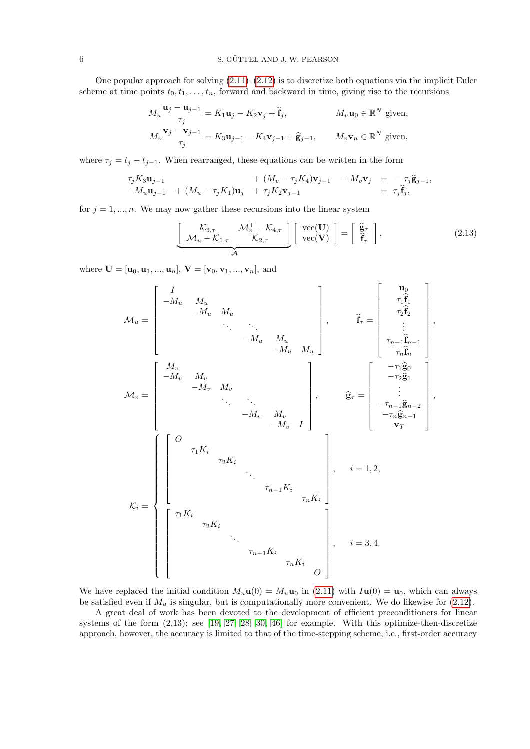One popular approach for solving  $(2.11)$ – $(2.12)$  is to discretize both equations via the implicit Euler scheme at time points  $t_0, t_1, \ldots, t_n$ , forward and backward in time, giving rise to the recursions

$$
M_u \frac{\mathbf{u}_j - \mathbf{u}_{j-1}}{\tau_j} = K_1 \mathbf{u}_j - K_2 \mathbf{v}_j + \hat{\mathbf{f}}_j, \qquad M_u \mathbf{u}_0 \in \mathbb{R}^N \text{ given},
$$
  

$$
M_v \frac{\mathbf{v}_j - \mathbf{v}_{j-1}}{\tau_j} = K_3 \mathbf{u}_{j-1} - K_4 \mathbf{v}_{j-1} + \hat{\mathbf{g}}_{j-1}, \qquad M_v \mathbf{v}_n \in \mathbb{R}^N \text{ given},
$$

<span id="page-6-0"></span>where  $\tau_j = t_j - t_{j-1}$ . When rearranged, these equations can be written in the form

$$
\tau_j K_3 \mathbf{u}_{j-1} + (M_v - \tau_j K_4) \mathbf{v}_{j-1} - M_v \mathbf{v}_j = -\tau_j \widehat{\mathbf{g}}_{j-1},
$$
  
-
$$
M_u \mathbf{u}_{j-1} + (M_u - \tau_j K_1) \mathbf{u}_j + \tau_j K_2 \mathbf{v}_{j-1} = \tau_j \widehat{\mathbf{f}}_j,
$$

for  $j = 1, ..., n$ . We may now gather these recursions into the linear system

<span id="page-6-8"></span><span id="page-6-5"></span><span id="page-6-4"></span><span id="page-6-3"></span><span id="page-6-2"></span>
$$
\underbrace{\begin{bmatrix} \mathcal{K}_{3,\tau} & \mathcal{M}_v^\top - \mathcal{K}_{4,\tau} \\ \mathcal{M}_u - \mathcal{K}_{1,\tau} & \mathcal{K}_{2,\tau} \end{bmatrix}}_{\mathcal{A}} \begin{bmatrix} \text{vec}(\mathbf{U}) \\ \text{vec}(\mathbf{V}) \end{bmatrix} = \begin{bmatrix} \hat{\mathbf{g}}_{\tau} \\ \hat{\mathbf{f}}_{\tau} \end{bmatrix}, \tag{2.13}
$$

<span id="page-6-1"></span>where  $\mathbf{U} = [\mathbf{u}_0, \mathbf{u}_1, ..., \mathbf{u}_n],\, \mathbf{V} = [\mathbf{v}_0, \mathbf{v}_1, ..., \mathbf{v}_n],$  and

$$
\mathcal{M}_{u} = \begin{bmatrix}\nI & & & & & & & & & & \\
-M_{u} & M_{u} & & & & & & & \\
& -M_{u} & M_{u} & & & & & \\
& & \ddots & \ddots & & & & \\
& & & -M_{u} & M_{u} & & \\
& & & -M_{u} & M_{u} & & \\
& & & -M_{v} & M_{v} & & \\
& & & -M_{v} & M_{v} & & \\
& & & & \ddots & \ddots & \\
& & & & -M_{v} & M_{v} & \\
& & & & & -M_{v} & I\n\end{bmatrix}, \qquad \begin{aligned}\n\widehat{\mathbf{f}}_{\tau} = \begin{bmatrix}\n\mathbf{u}_{0} \\
\tau_{1}\widehat{\mathbf{f}}_{1} \\
\vdots \\
\tau_{n-1}\widehat{\mathbf{f}}_{n-1} \\
\tau_{n}\widehat{\mathbf{f}}_{n} \\
\vdots \\
\tau_{n-1}\widehat{\mathbf{f}}_{n-1}\n\end{bmatrix}, \\
\mathcal{M}_{v} = \begin{bmatrix}\nM_{v} & & & & & \\
-M_{v} & M_{v} & & & & \\
& -M_{v} & M_{v} & & & \\
& & & -M_{v} & I\n\end{bmatrix}, \qquad \begin{aligned}\n\widehat{\mathbf{g}}_{\tau} = \begin{bmatrix}\n-\tau_{1}\widehat{\mathbf{g}}_{0} \\
-\tau_{2}\widehat{\mathbf{g}}_{1} \\
\vdots \\
-\tau_{n-1}\widehat{\mathbf{g}}_{n-1} \\
\tau_{T}\end{bmatrix}, \\
\tau_{T} = \begin{bmatrix}\n\widehat{\mathbf{f}}_{1} & & & & \\
\tau_{1}\widehat{\mathbf{f}}_{1} & & & & \\
\vdots & & & \ddots \\
\tau_{1}K_{i} & & & & \\
\tau_{1}K_{i} & & & & \\
\tau_{1}K_{i} & & & & \\
\tau_{1}K_{i} & & & & \\
\tau_{1}K_{i} & & & & \\
\tau_{1}K_{i} & & & & \\
\tau_{1}K_{i} & & & & \\
\tau_{1}K_{i} & & & & \\
\tau_{1}K_{i} & & & & \\
\tau_{1}K_{i} & & & & \\
\tau_{1}K_{i} & & & & \\
\tau_{1}K_{i} & & & & \\
\tau_{1}K_{i} & & & & \\
\tau_{1}K_{i} & & & & \\
\tau_{1}K_{i} & & &
$$

<span id="page-6-9"></span><span id="page-6-7"></span><span id="page-6-6"></span>We have replaced the initial condition  $M_u \mathbf{u}(0) = M_u \mathbf{u}_0$  in [\(2.11\)](#page-4-2) with  $I\mathbf{u}(0) = \mathbf{u}_0$ , which can always be satisfied even if  $M_u$  is singular, but is computationally more convenient. We do likewise for  $(2.12)$ .

A great deal of work has been devoted to the development of efficient preconditioners for linear systems of the form (2.13); see [\[19,](#page-22-17) [27,](#page-22-10) [28,](#page-22-11) [30,](#page-22-18) [46\]](#page-22-19) for example. With this optimize-then-discretize approach, however, the accuracy is limited to that of the time-stepping scheme, i.e., first-order accuracy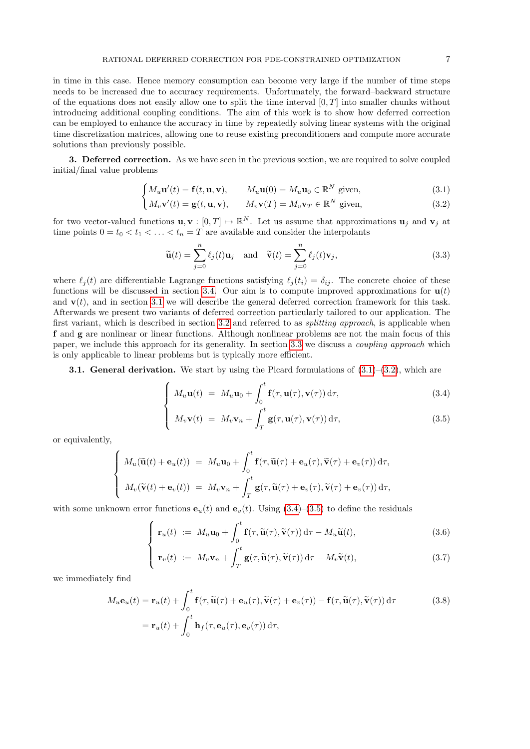in time in this case. Hence memory consumption can become very large if the number of time steps needs to be increased due to accuracy requirements. Unfortunately, the forward–backward structure of the equations does not easily allow one to split the time interval  $[0, T]$  into smaller chunks without introducing additional coupling conditions. The aim of this work is to show how deferred correction can be employed to enhance the accuracy in time by repeatedly solving linear systems with the original time discretization matrices, allowing one to reuse existing preconditioners and compute more accurate solutions than previously possible.

3. Deferred correction. As we have seen in the previous section, we are required to solve coupled initial/final value problems

$$
\int M_u \mathbf{u}'(t) = \mathbf{f}(t, \mathbf{u}, \mathbf{v}), \qquad M_u \mathbf{u}(0) = M_u \mathbf{u}_0 \in \mathbb{R}^N \text{ given}, \qquad (3.1)
$$

$$
M_v \mathbf{v}'(t) = \mathbf{g}(t, \mathbf{u}, \mathbf{v}), \qquad M_v \mathbf{v}(T) = M_v \mathbf{v}_T \in \mathbb{R}^N \text{ given}, \qquad (3.2)
$$

for two vector-valued functions  $\mathbf{u}, \mathbf{v} : [0, T] \mapsto \mathbb{R}^N$ . Let us assume that approximations  $\mathbf{u}_j$  and  $\mathbf{v}_j$  at time points  $0 = t_0 < t_1 < \ldots < t_n = T$  are available and consider the interpolants

<span id="page-7-3"></span>
$$
\widetilde{\mathbf{u}}(t) = \sum_{j=0}^{n} \ell_j(t) \mathbf{u}_j \quad \text{and} \quad \widetilde{\mathbf{v}}(t) = \sum_{j=0}^{n} \ell_j(t) \mathbf{v}_j,
$$
\n(3.3)

<span id="page-7-1"></span>where  $\ell_i(t)$  are differentiable Lagrange functions satisfying  $\ell_i(t_i) = \delta_{ij}$ . The concrete choice of these functions will be discussed in section [3.4.](#page-9-1) Our aim is to compute improved approximations for  $\mathbf{u}(t)$ and  $\mathbf{v}(t)$ , and in section [3.1](#page-6-1) we will describe the general deferred correction framework for this task. Afterwards we present two variants of deferred correction particularly tailored to our application. The first variant, which is described in section [3.2](#page-7-0) and referred to as *splitting approach*, is applicable when f and g are nonlinear or linear functions. Although nonlinear problems are not the main focus of this paper, we include this approach for its generality. In section [3.3](#page-8-0) we discuss a *coupling approach* which is only applicable to linear problems but is typically more efficient.

<span id="page-7-2"></span><span id="page-7-0"></span>**3.1. General derivation.** We start by using the Picard formulations of  $(3.1)$ – $(3.2)$ , which are

$$
\int M_u \mathbf{u}(t) = M_u \mathbf{u}_0 + \int_0^t \mathbf{f}(\tau, \mathbf{u}(\tau), \mathbf{v}(\tau)) d\tau,
$$
\n(3.4)

$$
\int M_v \mathbf{v}(t) = M_v \mathbf{v}_n + \int_T^t \mathbf{g}(\tau, \mathbf{u}(\tau), \mathbf{v}(\tau)) d\tau,
$$
\n(3.5)

or equivalently,

$$
\begin{cases}\nM_u(\widetilde{\mathbf{u}}(t) + \mathbf{e}_u(t)) = M_u \mathbf{u}_0 + \int_0^t \mathbf{f}(\tau, \widetilde{\mathbf{u}}(\tau) + \mathbf{e}_u(\tau), \widetilde{\mathbf{v}}(\tau) + \mathbf{e}_v(\tau)) d\tau, \\
M_v(\widetilde{\mathbf{v}}(t) + \mathbf{e}_v(t)) = M_v \mathbf{v}_n + \int_T^t \mathbf{g}(\tau, \widetilde{\mathbf{u}}(\tau) + \mathbf{e}_v(\tau), \widetilde{\mathbf{v}}(\tau) + \mathbf{e}_v(\tau)) d\tau,\n\end{cases}
$$

with some unknown error functions  $e_u(t)$  and  $e_v(t)$ . Using [\(3.4\)](#page-6-4)–[\(3.5\)](#page-6-5) to define the residuals

$$
\begin{cases} \mathbf{r}_u(t) := M_u \mathbf{u}_0 + \int_0^t \mathbf{f}(\tau, \widetilde{\mathbf{u}}(\tau), \widetilde{\mathbf{v}}(\tau)) d\tau - M_u \widetilde{\mathbf{u}}(t), \\ t & \in \mathcal{C} \end{cases} \tag{3.6}
$$

$$
\mathbf{r}_v(t) := M_v \mathbf{v}_n + \int_T^t \mathbf{g}(\tau, \widetilde{\mathbf{u}}(\tau), \widetilde{\mathbf{v}}(\tau)) d\tau - M_v \widetilde{\mathbf{v}}(t), \qquad (3.7)
$$

we immediately find

$$
M_u \mathbf{e}_u(t) = \mathbf{r}_u(t) + \int_0^t \mathbf{f}(\tau, \tilde{\mathbf{u}}(\tau) + \mathbf{e}_u(\tau), \tilde{\mathbf{v}}(\tau) + \mathbf{e}_v(\tau)) - \mathbf{f}(\tau, \tilde{\mathbf{u}}(\tau), \tilde{\mathbf{v}}(\tau)) d\tau
$$
(3.8)  
=  $\mathbf{r}_u(t) + \int_0^t \mathbf{h}_f(\tau, \mathbf{e}_u(\tau), \mathbf{e}_v(\tau)) d\tau,$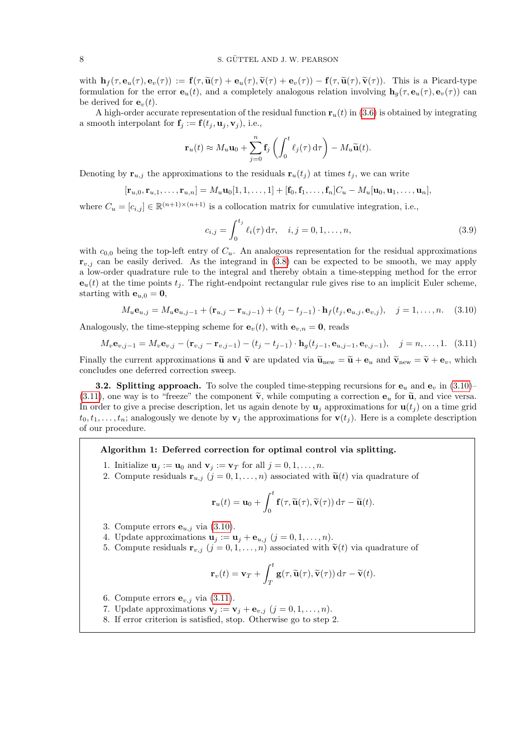<span id="page-8-0"></span>with  $\mathbf{h}_f(\tau, \mathbf{e}_u(\tau), \mathbf{e}_v(\tau)) := \mathbf{f}(\tau, \widetilde{\mathbf{u}}(\tau) + \mathbf{e}_u(\tau), \widetilde{\mathbf{v}}(\tau) + \mathbf{e}_v(\tau)) - \mathbf{f}(\tau, \widetilde{\mathbf{u}}(\tau), \widetilde{\mathbf{v}}(\tau))$ . This is a Picard-type formulation for the error  $e_u(t)$ , and a completely analogous relation involving  $\mathbf{h}_q(\tau, e_u(\tau), e_v(\tau))$  can be derived for  $\mathbf{e}_v(t)$ .

A high-order accurate representation of the residual function  $\mathbf{r}_u(t)$  in [\(3.6\)](#page-6-6) is obtained by integrating a smooth interpolant for  $\mathbf{f}_j := \mathbf{f}(t_j, \mathbf{u}_j, \mathbf{v}_j)$ , i.e.,

$$
\mathbf{r}_u(t) \approx M_u \mathbf{u}_0 + \sum_{j=0}^n \mathbf{f}_j \left( \int_0^t \ell_j(\tau) d\tau \right) - M_u \widetilde{\mathbf{u}}(t).
$$

Denoting by  $\mathbf{r}_{u,j}$  the approximations to the residuals  $\mathbf{r}_u(t_j)$  at times  $t_j$ , we can write

$$
[\mathbf{r}_{u,0}, \mathbf{r}_{u,1}, \ldots, \mathbf{r}_{u,n}] = M_u \mathbf{u}_0[1, 1, \ldots, 1] + [\mathbf{f}_0, \mathbf{f}_1, \ldots, \mathbf{f}_n]C_u - M_u[\mathbf{u}_0, \mathbf{u}_1, \ldots, \mathbf{u}_n],
$$

where  $C_u = [c_{i,j}] \in \mathbb{R}^{(n+1)\times(n+1)}$  is a collocation matrix for cumulative integration, i.e.,

$$
c_{i,j} = \int_0^{t_j} \ell_i(\tau) d\tau, \quad i, j = 0, 1, \dots, n,
$$
\n(3.9)

with  $c_{0,0}$  being the top-left entry of  $C_u$ . An analogous representation for the residual approximations  $\mathbf{r}_{v,j}$  can be easily derived. As the integrand in [\(3.8\)](#page-6-7) can be expected to be smooth, we may apply a low-order quadrature rule to the integral and thereby obtain a time-stepping method for the error  $e_u(t)$  at the time points  $t_i$ . The right-endpoint rectangular rule gives rise to an implicit Euler scheme, starting with  $e_{u,0} = 0$ ,

$$
M_u \mathbf{e}_{u,j} = M_u \mathbf{e}_{u,j-1} + (\mathbf{r}_{u,j} - \mathbf{r}_{u,j-1}) + (t_j - t_{j-1}) \cdot \mathbf{h}_f(t_j, \mathbf{e}_{u,j}, \mathbf{e}_{v,j}), \quad j = 1, \dots, n. \tag{3.10}
$$

<span id="page-8-1"></span>Analogously, the time-stepping scheme for  $e_v(t)$ , with  $e_{v,n} = 0$ , reads

$$
M_v \mathbf{e}_{v,j-1} = M_v \mathbf{e}_{v,j} - (\mathbf{r}_{v,j} - \mathbf{r}_{v,j-1}) - (t_j - t_{j-1}) \cdot \mathbf{h}_g(t_{j-1}, \mathbf{e}_{u,j-1}, \mathbf{e}_{v,j-1}), \quad j = n, \dots, 1. \quad (3.11)
$$

Finally the current approximations  $\tilde{\mathbf{u}}$  and  $\tilde{\mathbf{v}}$  are updated via  $\tilde{\mathbf{u}}_{\text{new}} = \tilde{\mathbf{u}} + \mathbf{e}_u$  and  $\tilde{\mathbf{v}}_{\text{new}} = \tilde{\mathbf{v}} + \mathbf{e}_v$ , which concludes one deferred correction sweep.

**3.2. Splitting approach.** To solve the coupled time-stepping recursions for  $\mathbf{e}_u$  and  $\mathbf{e}_v$  in [\(3.10\)](#page-7-1)–  $(3.11)$ , one way is to "freeze" the component  $\tilde{\mathbf{v}}$ , while computing a correction  $\mathbf{e}_u$  for  $\tilde{\mathbf{u}}$ , and vice versa. In order to give a precise description, let us again denote by  $\mathbf{u}_j$  approximations for  $\mathbf{u}(t_j)$  on a time grid  $t_0, t_1, \ldots, t_n$ ; analogously we denote by  $\mathbf{v}_j$  the approximations for  $\mathbf{v}(t_j)$ . Here is a complete description of our procedure.

### Algorithm 1: Deferred correction for optimal control via splitting.

- 1. Initialize  $\mathbf{u}_j := \mathbf{u}_0$  and  $\mathbf{v}_j := \mathbf{v}_T$  for all  $j = 0, 1, \ldots, n$ .
- 2. Compute residuals  $\mathbf{r}_{u,j}$   $(j = 0, 1, \ldots, n)$  associated with  $\tilde{\mathbf{u}}(t)$  via quadrature of

$$
\mathbf{r}_u(t) = \mathbf{u}_0 + \int_0^t \mathbf{f}(\tau, \widetilde{\mathbf{u}}(\tau), \widetilde{\mathbf{v}}(\tau)) d\tau - \widetilde{\mathbf{u}}(t).
$$

- 3. Compute errors  $\mathbf{e}_{u,j}$  via [\(3.10\)](#page-7-1).
- 4. Update approximations  $\mathbf{u}_j := \mathbf{u}_j + \mathbf{e}_{u,j}$   $(j = 0, 1, \ldots, n)$ .
- 5. Compute residuals  $\mathbf{r}_{v,j}$   $(j = 0, 1, \ldots, n)$  associated with  $\tilde{\mathbf{v}}(t)$  via quadrature of

$$
\mathbf{r}_v(t) = \mathbf{v}_T + \int_T^t \mathbf{g}(\tau, \widetilde{\mathbf{u}}(\tau), \widetilde{\mathbf{v}}(\tau)) d\tau - \widetilde{\mathbf{v}}(t).
$$

- 6. Compute errors  $\mathbf{e}_{v,i}$  via [\(3.11\)](#page-7-2).
- 7. Update approximations  $\mathbf{v}_i := \mathbf{v}_i + \mathbf{e}_{v,i}$   $(j = 0, 1, \ldots, n)$ .
- 8. If error criterion is satisfied, stop. Otherwise go to step 2.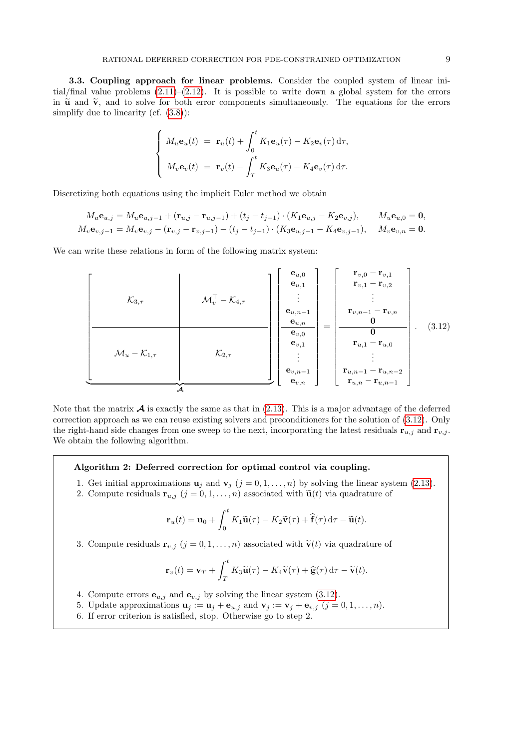<span id="page-9-1"></span>3.3. Coupling approach for linear problems. Consider the coupled system of linear initial/final value problems  $(2.11)$ – $(2.12)$ . It is possible to write down a global system for the errors in  $\tilde{u}$  and  $\tilde{v}$ , and to solve for both error components simultaneously. The equations for the errors simplify due to linearity (cf.  $(3.8)$ ):

$$
\begin{cases}\nM_u \mathbf{e}_u(t) = \mathbf{r}_u(t) + \int_0^t K_1 \mathbf{e}_u(\tau) - K_2 \mathbf{e}_v(\tau) d\tau, \\
M_v \mathbf{e}_v(t) = \mathbf{r}_v(t) - \int_T^t K_3 \mathbf{e}_u(\tau) - K_4 \mathbf{e}_v(\tau) d\tau.\n\end{cases}
$$

Discretizing both equations using the implicit Euler method we obtain

$$
M_u \mathbf{e}_{u,j} = M_u \mathbf{e}_{u,j-1} + (\mathbf{r}_{u,j} - \mathbf{r}_{u,j-1}) + (t_j - t_{j-1}) \cdot (K_1 \mathbf{e}_{u,j} - K_2 \mathbf{e}_{v,j}), \qquad M_u \mathbf{e}_{u,0} = \mathbf{0},
$$
  

$$
M_v \mathbf{e}_{v,j-1} = M_v \mathbf{e}_{v,j} - (\mathbf{r}_{v,j} - \mathbf{r}_{v,j-1}) - (t_j - t_{j-1}) \cdot (K_3 \mathbf{e}_{u,j-1} - K_4 \mathbf{e}_{v,j-1}), \qquad M_v \mathbf{e}_{v,n} = \mathbf{0}.
$$

We can write these relations in form of the following matrix system:

 K3,τ M<sup>⊤</sup> <sup>v</sup> − K4,τ M<sup>u</sup> − K1,τ K2,τ | {z } A eu,<sup>0</sup> eu,<sup>1</sup> . . . eu,n−<sup>1</sup> eu,n ev,<sup>0</sup> ev,<sup>1</sup> . . . ev,n−<sup>1</sup> ev,n = rv,<sup>0</sup> − rv,<sup>1</sup> rv,<sup>1</sup> − rv,<sup>2</sup> . . . rv,n−<sup>1</sup> − rv,n 0 0 ru,<sup>1</sup> − ru,<sup>0</sup> . . . ru,n−<sup>1</sup> − ru,n−<sup>2</sup> ru,n − ru,n−<sup>1</sup> . (3.12)

<span id="page-9-0"></span>Note that the matrix  $\mathcal A$  is exactly the same as that in [\(2.13\)](#page-5-0). This is a major advantage of the deferred correction approach as we can reuse existing solvers and preconditioners for the solution of [\(3.12\)](#page-8-1). Only the right-hand side changes from one sweep to the next, incorporating the latest residuals  $\mathbf{r}_{u,j}$  and  $\mathbf{r}_{v,j}$ . We obtain the following algorithm.

## Algorithm 2: Deferred correction for optimal control via coupling.

- 1. Get initial approximations  $\mathbf{u}_j$  and  $\mathbf{v}_j$   $(j = 0, 1, \ldots, n)$  by solving the linear system [\(2.13\)](#page-5-0).
- 2. Compute residuals  $\mathbf{r}_{u,j}$   $(j = 0, 1, \ldots, n)$  associated with  $\tilde{\mathbf{u}}(t)$  via quadrature of

<span id="page-9-6"></span><span id="page-9-5"></span><span id="page-9-4"></span>
$$
\mathbf{r}_u(t) = \mathbf{u}_0 + \int_0^t K_1 \widetilde{\mathbf{u}}(\tau) - K_2 \widetilde{\mathbf{v}}(\tau) + \widehat{\mathbf{f}}(\tau) d\tau - \widetilde{\mathbf{u}}(t).
$$

3. Compute residuals  $\mathbf{r}_{v,j}$   $(j = 0, 1, \ldots, n)$  associated with  $\tilde{\mathbf{v}}(t)$  via quadrature of

<span id="page-9-3"></span><span id="page-9-2"></span>
$$
\mathbf{r}_{v}(t) = \mathbf{v}_{T} + \int_{T}^{t} K_{3} \widetilde{\mathbf{u}}(\tau) - K_{4} \widetilde{\mathbf{v}}(\tau) + \widehat{\mathbf{g}}(\tau) d\tau - \widetilde{\mathbf{v}}(t).
$$

- 4. Compute errors  $\mathbf{e}_{u,j}$  and  $\mathbf{e}_{v,j}$  by solving the linear system [\(3.12\)](#page-8-1).
- 5. Update approximations  $\mathbf{u}_j := \mathbf{u}_j + \mathbf{e}_{u,j}$  and  $\mathbf{v}_j := \mathbf{v}_j + \mathbf{e}_{v,j}$   $(j = 0, 1, \ldots, n)$ .
- 6. If error criterion is satisfied, stop. Otherwise go to step 2.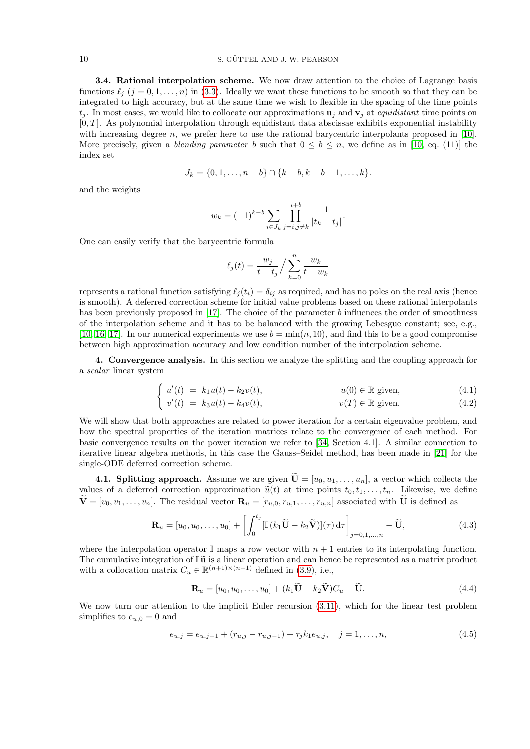### 10 S. GÜTTEL AND J. W. PEARSON

3.4. Rational interpolation scheme. We now draw attention to the choice of Lagrange basis functions  $\ell_j$  (j = 0, 1, ..., n) in [\(3.3\)](#page-6-8). Ideally we want these functions to be smooth so that they can be integrated to high accuracy, but at the same time we wish to flexible in the spacing of the time points  $t_i$ . In most cases, we would like to collocate our approximations  $\mathbf{u}_i$  and  $\mathbf{v}_i$  at *equidistant* time points on  $[0, T]$ . As polynomial interpolation through equidistant data abscissae exhibits exponential instability with increasing degree n, we prefer here to use the rational barycentric interpolants proposed in  $[10]$ . More precisely, given a *blending parameter* b such that  $0 \leq b \leq n$ , we define as in [\[10,](#page-21-9) eq. (11)] the index set

$$
J_k = \{0, 1, \ldots, n - b\} \cap \{k - b, k - b + 1, \ldots, k\}.
$$

and the weights

$$
w_k = (-1)^{k-b} \sum_{i \in J_k} \prod_{j=i,j \neq k}^{i+b} \frac{1}{|t_k - t_j|}.
$$

One can easily verify that the barycentric formula

$$
\ell_j(t) = \frac{w_j}{t - t_j} / \sum_{k=0}^n \frac{w_k}{t - w_k}
$$

represents a rational function satisfying  $\ell_i(t_i) = \delta_{ij}$  as required, and has no poles on the real axis (hence is smooth). A deferred correction scheme for initial value problems based on these rational interpolants has been previously proposed in  $[17]$ . The choice of the parameter b influences the order of smoothness of the interpolation scheme and it has to be balanced with the growing Lebesgue constant; see, e.g., [\[10,](#page-21-9) [16,](#page-21-10) [17\]](#page-22-8). In our numerical experiments we use  $b = \min(n, 10)$ , and find this to be a good compromise between high approximation accuracy and low condition number of the interpolation scheme.

4. Convergence analysis. In this section we analyze the splitting and the coupling approach for a scalar linear system

$$
\begin{cases}\n u'(t) = k_1 u(t) - k_2 v(t), & \text{if } u(0) \in \mathbb{R} \text{ given},\n\end{cases} \tag{4.1}
$$

<span id="page-10-0"></span>
$$
\begin{cases}\nv'(t) = k_3 u(t) - k_4 v(t), & v(T) \in \mathbb{R} \text{ given.} \\
\end{cases} \tag{4.2}
$$

We will show that both approaches are related to power iteration for a certain eigenvalue problem, and how the spectral properties of the iteration matrices relate to the convergence of each method. For basic convergence results on the power iteration we refer to [\[34,](#page-22-20) Section 4.1]. A similar connection to iterative linear algebra methods, in this case the Gauss–Seidel method, has been made in [\[21\]](#page-22-7) for the single-ODE deferred correction scheme.

**4.1. Splitting approach.** Assume we are given  $\widetilde{\mathbf{U}} = [u_0, u_1, \dots, u_n]$ , a vector which collects the values of a deferred correction approximation  $\tilde{u}(t)$  at time points  $t_0, t_1, \ldots, t_n$ . Likewise, we define  $\widetilde{\mathbf{V}} = [v_0, v_1, \dots, v_n]$ . The residual vector  $\mathbf{R}_u = [r_{u,0}, r_{u,1}, \dots, r_{u,n}]$  associated with  $\widetilde{\mathbf{U}}$  is defined as

$$
\mathbf{R}_u = [u_0, u_0, \dots, u_0] + \left[ \int_0^{t_j} \left[ \mathbb{I} \left( k_1 \widetilde{\mathbf{U}} - k_2 \widetilde{\mathbf{V}} \right) \right] (\tau) d\tau \right]_{j=0,1,\dots,n} - \widetilde{\mathbf{U}}, \tag{4.3}
$$

where the interpolation operator  $\mathbb{I}$  maps a row vector with  $n+1$  entries to its interpolating function. The cumulative integration of  $\mathbb{I} \widetilde{\mathbf{u}}$  is a linear operation and can hence be represented as a matrix product with a collocation matrix  $C_u \in \mathbb{R}^{(n+1)\times(n+1)}$  defined in [\(3.9\)](#page-7-3), i.e.,

$$
\mathbf{R}_u = [u_0, u_0, \dots, u_0] + (k_1 \widetilde{\mathbf{U}} - k_2 \widetilde{\mathbf{V}}) C_u - \widetilde{\mathbf{U}}.
$$
\n(4.4)

We now turn our attention to the implicit Euler recursion  $(3.11)$ , which for the linear test problem simplifies to  $e_{u,0} = 0$  and

$$
e_{u,j} = e_{u,j-1} + (r_{u,j} - r_{u,j-1}) + \tau_j k_1 e_{u,j}, \quad j = 1, \dots, n,
$$
\n(4.5)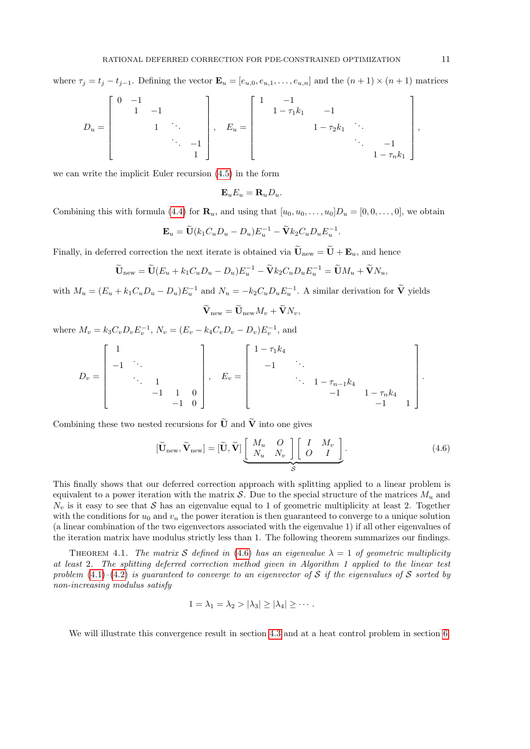where  $\tau_j = t_j - t_{j-1}$ . Defining the vector  $\mathbf{E}_u = [e_{u,0}, e_{u,1}, \dots, e_{u,n}]$  and the  $(n+1) \times (n+1)$  matrices

$$
D_u = \begin{bmatrix} 0 & -1 & & & \\ & 1 & -1 & & \\ & & 1 & \ddots & \\ & & & & \ddots & -1 \\ & & & & & 1 \end{bmatrix}, \quad E_u = \begin{bmatrix} 1 & -1 & & & & \\ & 1 - \tau_1 k_1 & -1 & & \\ & & 1 - \tau_2 k_1 & \ddots & \\ & & & & \ddots & -1 \\ & & & & & 1 - \tau_n k_1 \end{bmatrix},
$$

we can write the implicit Euler recursion [\(4.5\)](#page-9-2) in the form

$$
\mathbf{E}_u E_u = \mathbf{R}_u D_u.
$$

Combining this with formula [\(4.4\)](#page-9-3) for  $\mathbf{R}_u$ , and using that  $[u_0, u_0, \ldots, u_0]D_u = [0, 0, \ldots, 0]$ , we obtain

<span id="page-11-1"></span>
$$
\mathbf{E}_u = \widetilde{\mathbf{U}}(k_1 C_u D_u - D_u) E_u^{-1} - \widetilde{\mathbf{V}} k_2 C_u D_u E_u^{-1}.
$$

Finally, in deferred correction the next iterate is obtained via  $\widetilde{\mathbf{U}}_{\text{new}} = \widetilde{\mathbf{U}} + \mathbf{E}_u$ , and hence

$$
\widetilde{\mathbf{U}}_{\text{new}} = \widetilde{\mathbf{U}}(E_u + k_1 C_u D_u - D_u) E_u^{-1} - \widetilde{\mathbf{V}} k_2 C_u D_u E_u^{-1} = \widetilde{\mathbf{U}} M_u + \widetilde{\mathbf{V}} N_u,
$$

with  $M_u = (E_u + k_1 C_u D_u - D_u) E_u^{-1}$  and  $N_u = -k_2 C_u D_u E_u^{-1}$ . A similar derivation for  $\tilde{V}$  yields

<span id="page-11-2"></span>
$$
\mathbf{V}_{\text{new}} = \mathbf{U}_{\text{new}} M_v + \mathbf{V} N_v,
$$

where  $M_v = k_3 C_v D_v E_v^{-1}$ ,  $N_v = (E_v - k_4 C_v D_v - D_v) E_v^{-1}$ , and

$$
D_v = \begin{bmatrix} 1 & & & & \\ -1 & \ddots & & & \\ & \ddots & 1 & & \\ & & -1 & 1 & 0 \\ & & & -1 & 0 \end{bmatrix}, \quad E_v = \begin{bmatrix} 1 - \tau_1 k_4 & & & & \\ -1 & \ddots & & & \\ & \ddots & 1 - \tau_{n-1} k_4 & & \\ & & -1 & 1 - \tau_n k_4 & \\ & & & -1 & 1 \end{bmatrix}.
$$

Combining these two nested recursions for  $\widetilde{U}$  and  $\widetilde{V}$  into one gives

$$
[\widetilde{\mathbf{U}}_{\text{new}}, \widetilde{\mathbf{V}}_{\text{new}}] = [\widetilde{\mathbf{U}}, \widetilde{\mathbf{V}}] \underbrace{\begin{bmatrix} M_u & O \\ N_u & N_v \end{bmatrix} \begin{bmatrix} I & M_v \\ O & I \end{bmatrix}}_{\mathcal{S}}.
$$
\n(4.6)

This finally shows that our deferred correction approach with splitting applied to a linear problem is equivalent to a power iteration with the matrix S. Due to the special structure of the matrices  $M_u$  and  $N_v$  is it easy to see that S has an eigenvalue equal to 1 of geometric multiplicity at least 2. Together with the conditions for  $u_0$  and  $v_n$  the power iteration is then guaranteed to converge to a unique solution (a linear combination of the two eigenvectors associated with the eigenvalue 1) if all other eigenvalues of the iteration matrix have modulus strictly less than 1. The following theorem summarizes our findings.

<span id="page-11-0"></span>THEOREM 4.1. The matrix S defined in [\(4.6\)](#page-10-0) has an eigenvalue  $\lambda = 1$  of geometric multiplicity at least 2. The splitting deferred correction method given in Algorithm 1 applied to the linear test problem  $(4.1)$ – $(4.2)$  is guaranteed to converge to an eigenvector of S if the eigenvalues of S sorted by non-increasing modulus satisfy

$$
1 = \lambda_1 = \lambda_2 > |\lambda_3| \ge |\lambda_4| \ge \cdots.
$$

We will illustrate this convergence result in section [4.3](#page-11-0) and at a heat control problem in section [6.](#page-14-0)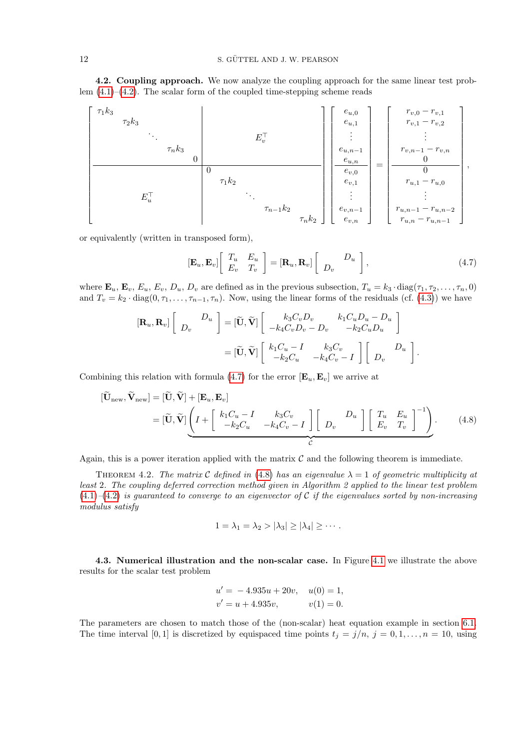<span id="page-12-1"></span>4.2. Coupling approach. We now analyze the coupling approach for the same linear test problem  $(4.1)$ – $(4.2)$ . The scalar form of the coupled time-stepping scheme reads

$$
E_{v}^{\top}
$$
\n
$$
E_{u}^{\top}
$$
\n
$$
E_{u}^{\top}
$$
\n
$$
T_{n}k_{2}
$$
\n
$$
E_{v}^{\top}
$$
\n
$$
T_{n-1}k_{2}
$$
\n
$$
T_{n-1}k_{2}
$$
\n
$$
T_{n-1}k_{2}
$$
\n
$$
T_{n-1}k_{2}
$$
\n
$$
T_{n-1}k_{2}
$$
\n
$$
T_{n-1}k_{2}
$$
\n
$$
T_{n-1}k_{2}
$$
\n
$$
T_{n-1}k_{2}
$$
\n
$$
T_{n-1}k_{2}
$$
\n
$$
T_{n-1}k_{2}
$$
\n
$$
T_{n-1}k_{2}
$$
\n
$$
T_{n-1}k_{2}
$$
\n
$$
T_{n-1}k_{2}
$$
\n
$$
T_{n-1}k_{2}
$$
\n
$$
T_{n-1}k_{2}
$$
\n
$$
T_{n-1}k_{2}
$$
\n
$$
T_{n-1}k_{2}
$$
\n
$$
T_{n-1}k_{2}
$$
\n
$$
T_{n-1}k_{2}
$$
\n
$$
T_{n-1}k_{2}
$$
\n
$$
T_{n-1}k_{2}
$$
\n
$$
T_{n-1}k_{2}
$$
\n
$$
T_{n-1}k_{2}
$$
\n
$$
T_{n-1}k_{2}
$$
\n
$$
T_{n-1}k_{2}
$$
\n
$$
T_{n-1}k_{2}
$$
\n
$$
T_{n-1}k_{2}
$$
\n
$$
T_{n-1}k_{2}
$$
\n
$$
T_{n-1}k_{2}
$$
\n
$$
T_{n-1}k_{2}
$$
\n
$$
T_{n-1}k_{2}
$$
\n
$$
T_{n-1}k_{2}
$$
\n
$$
T_{n-1}k_{2}
$$
\n
$$
T_{n-1}k_{2}
$$
\n
$$
T_{n-1}k_{2}
$$
\n
$$
T_{n-1}k_{2
$$

or equivalently (written in transposed form),

$$
\left[\mathbf{E}_u, \mathbf{E}_v\right] \begin{bmatrix} T_u & E_u \\ E_v & T_v \end{bmatrix} = \left[\mathbf{R}_u, \mathbf{R}_v\right] \begin{bmatrix} D_u \\ D_v \end{bmatrix},\tag{4.7}
$$

where  $\mathbf{E}_u$ ,  $\mathbf{E}_v$ ,  $E_u$ ,  $E_v$ ,  $D_u$ ,  $D_v$  are defined as in the previous subsection,  $T_u = k_3 \cdot diag(\tau_1, \tau_2, \dots, \tau_n, 0)$ and  $T_v = k_2 \cdot diag(0, \tau_1, \ldots, \tau_{n-1}, \tau_n)$ . Now, using the linear forms of the residuals (cf. [\(4.3\)](#page-9-6)) we have

$$
\begin{aligned} \left[\mathbf{R}_u, \mathbf{R}_v\right] \left[\begin{array}{c} D_u \\ D_v \end{array}\right] &= \left[\widetilde{\mathbf{U}}, \widetilde{\mathbf{V}}\right] \left[\begin{array}{cc} k_3 C_v D_v & k_1 C_u D_u - D_u \\ -k_4 C_v D_v - D_v & -k_2 C_u D_u \end{array}\right] \\ &= \left[\widetilde{\mathbf{U}}, \widetilde{\mathbf{V}}\right] \left[\begin{array}{cc} k_1 C_u - I & k_3 C_v \\ -k_2 C_u & -k_4 C_v - I \end{array}\right] \left[\begin{array}{cc} D_u \\ D_v \end{array}\right]. \end{aligned}
$$

Combining this relation with formula [\(4.7\)](#page-11-1) for the error  $[\mathbf{E}_u, \mathbf{E}_v]$  we arrive at

$$
[\widetilde{\mathbf{U}}_{\text{new}}, \widetilde{\mathbf{V}}_{\text{new}}] = [\widetilde{\mathbf{U}}, \widetilde{\mathbf{V}}] + [\mathbf{E}_u, \mathbf{E}_v]
$$
  
= [\widetilde{\mathbf{U}}, \widetilde{\mathbf{V}}] \left( I + \begin{bmatrix} k\_1 C\_u - I & k\_3 C\_v \\ -k\_2 C\_u & -k\_4 C\_v - I \end{bmatrix} \begin{bmatrix} D\_u \\ D\_v \end{bmatrix} \begin{bmatrix} T\_u & E\_u \\ E\_v & T\_v \end{bmatrix}^{-1} \right). (4.8)

Again, this is a power iteration applied with the matrix  $\mathcal C$  and the following theorem is immediate.

THEOREM 4.2. The matrix C defined in [\(4.8\)](#page-11-2) has an eigenvalue  $\lambda = 1$  of geometric multiplicity at least 2. The coupling deferred correction method given in Algorithm 2 applied to the linear test problem  $(4.1)$ – $(4.2)$  is guaranteed to converge to an eigenvector of C if the eigenvalues sorted by non-increasing modulus satisfy

$$
1 = \lambda_1 = \lambda_2 > |\lambda_3| \ge |\lambda_4| \ge \cdots.
$$

<span id="page-12-0"></span>4.3. Numerical illustration and the non-scalar case. In Figure [4.1](#page-12-1) we illustrate the above results for the scalar test problem

$$
u' = -4.935u + 20v, \quad u(0) = 1,
$$
  

$$
v' = u + 4.935v, \qquad v(1) = 0.
$$

The parameters are chosen to match those of the (non-scalar) heat equation example in section [6.1.](#page-14-1) The time interval [0, 1] is discretized by equispaced time points  $t_j = j/n$ ,  $j = 0, 1, \ldots, n = 10$ , using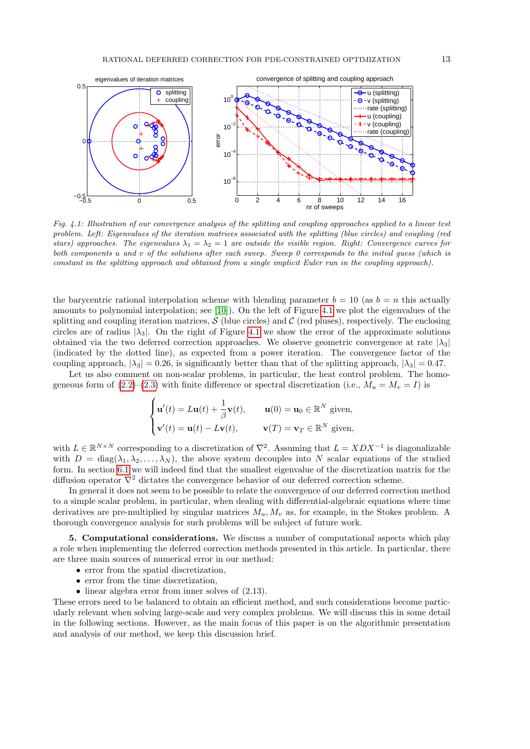

Fig. 4.1: Illustration of our convergence analysis of the splitting and coupling approaches applied to a linear test problem. Left: Eigenvalues of the iteration matrices associated with the splitting (blue circles) and coupling (red stars) approaches. The eigenvalues  $\lambda_1 = \lambda_2 = 1$  are outside the visible region. Right: Convergence curves for both components u and v of the solutions after each sweep. Sweep 0 corresponds to the initial guess (which is constant in the splitting approach and obtained from a single implicit Euler run in the coupling approach).

the barycentric rational interpolation scheme with blending parameter  $b = 10$  (as  $b = n$  this actually amounts to polynomial interpolation; see [\[10\]](#page-21-9)). On the left of Figure [4.1](#page-12-1) we plot the eigenvalues of the splitting and coupling iteration matrices,  $S$  (blue circles) and  $C$  (red pluses), respectively. The enclosing circles are of radius  $|\lambda_3|$ . On the right of Figure [4.1](#page-12-1) we show the error of the approximate solutions obtained via the two deferred correction approaches. We observe geometric convergence at rate  $|\lambda_3|$ (indicated by the dotted line), as expected from a power iteration. The convergence factor of the coupling approach,  $|\lambda_3| = 0.26$ , is significantly better than that of the splitting approach,  $|\lambda_3| = 0.47$ .

Let us also comment on non-scalar problems, in particular, the heat control problem. The homogeneous form of  $(2.2)$ – $(2.3)$  with finite difference or spectral discretization (i.e.,  $M_u = M_v = I$ ) is

$$
\begin{cases}\n\mathbf{u}'(t) = L\mathbf{u}(t) + \frac{1}{\beta}\mathbf{v}(t), & \mathbf{u}(0) = \mathbf{u}_0 \in \mathbb{R}^N \text{ given,} \\
\mathbf{v}'(t) = \mathbf{u}(t) - L\mathbf{v}(t), & \mathbf{v}(T) = \mathbf{v}_T \in \mathbb{R}^N \text{ given,}\n\end{cases}
$$

with  $L \in \mathbb{R}^{N \times N}$  corresponding to a discretization of  $\nabla^2$ . Assuming that  $L = XDX^{-1}$  is diagonalizable with  $D = \text{diag}(\lambda_1, \lambda_2, \dots, \lambda_N)$ , the above system decouples into N scalar equations of the studied form. In section [6.1](#page-14-1) we will indeed find that the smallest eigenvalue of the discretization matrix for the diffusion operator  $\nabla^2$  dictates the convergence behavior of our deferred correction scheme.

In general it does not seem to be possible to relate the convergence of our deferred correction method to a simple scalar problem, in particular, when dealing with differential-algebraic equations where time derivatives are pre-multiplied by singular matrices  $M_u, M_v$  as, for example, in the Stokes problem. A thorough convergence analysis for such problems will be subject of future work.

5. Computational considerations. We discuss a number of computational aspects which play a role when implementing the deferred correction methods presented in this article. In particular, there are three main sources of numerical error in our method:

- error from the spatial discretization,
- error from the time discretization,
- linear algebra error from inner solves of  $(2.13)$ .

These errors need to be balanced to obtain an efficient method, and such considerations become particularly relevant when solving large-scale and very complex problems. We will discuss this in some detail in the following sections. However, as the main focus of this paper is on the algorithmic presentation and analysis of our method, we keep this discussion brief.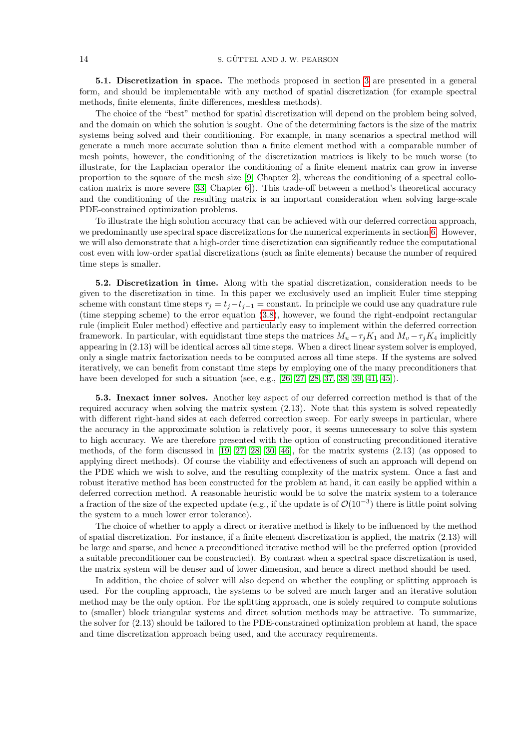<span id="page-14-0"></span>5.1. Discretization in space. The methods proposed in section [3](#page-6-0) are presented in a general form, and should be implementable with any method of spatial discretization (for example spectral methods, finite elements, finite differences, meshless methods).

<span id="page-14-1"></span>The choice of the "best" method for spatial discretization will depend on the problem being solved, and the domain on which the solution is sought. One of the determining factors is the size of the matrix systems being solved and their conditioning. For example, in many scenarios a spectral method will generate a much more accurate solution than a finite element method with a comparable number of mesh points, however, the conditioning of the discretization matrices is likely to be much worse (to illustrate, for the Laplacian operator the conditioning of a finite element matrix can grow in inverse proportion to the square of the mesh size [\[9,](#page-21-11) Chapter 2], whereas the conditioning of a spectral collocation matrix is more severe [\[33,](#page-22-21) Chapter 6]). This trade-off between a method's theoretical accuracy and the conditioning of the resulting matrix is an important consideration when solving large-scale PDE-constrained optimization problems.

To illustrate the high solution accuracy that can be achieved with our deferred correction approach, we predominantly use spectral space discretizations for the numerical experiments in section [6.](#page-14-0) However, we will also demonstrate that a high-order time discretization can significantly reduce the computational cost even with low-order spatial discretizations (such as finite elements) because the number of required time steps is smaller.

5.2. Discretization in time. Along with the spatial discretization, consideration needs to be given to the discretization in time. In this paper we exclusively used an implicit Euler time stepping scheme with constant time steps  $\tau_j = t_j - t_{j-1} = \text{constant}$ . In principle we could use any quadrature rule (time stepping scheme) to the error equation [\(3.8\)](#page-6-7), however, we found the right-endpoint rectangular rule (implicit Euler method) effective and particularly easy to implement within the deferred correction framework. In particular, with equidistant time steps the matrices  $M_u - \tau_i K_1$  and  $M_v - \tau_i K_4$  implicitly appearing in (2.13) will be identical across all time steps. When a direct linear system solver is employed, only a single matrix factorization needs to be computed across all time steps. If the systems are solved iteratively, we can benefit from constant time steps by employing one of the many preconditioners that have been developed for such a situation (see, e.g., [\[26,](#page-22-9) [27,](#page-22-10) [28,](#page-22-11) [37,](#page-22-12) [38,](#page-22-13) [39,](#page-22-14) [41,](#page-22-15) [45\]](#page-22-16)).

5.3. Inexact inner solves. Another key aspect of our deferred correction method is that of the required accuracy when solving the matrix system (2.13). Note that this system is solved repeatedly with different right-hand sides at each deferred correction sweep. For early sweeps in particular, where the accuracy in the approximate solution is relatively poor, it seems unnecessary to solve this system to high accuracy. We are therefore presented with the option of constructing preconditioned iterative methods, of the form discussed in [\[19,](#page-22-17) [27,](#page-22-10) [28,](#page-22-11) [30,](#page-22-18) [46\]](#page-22-19), for the matrix systems (2.13) (as opposed to applying direct methods). Of course the viability and effectiveness of such an approach will depend on the PDE which we wish to solve, and the resulting complexity of the matrix system. Once a fast and robust iterative method has been constructed for the problem at hand, it can easily be applied within a deferred correction method. A reasonable heuristic would be to solve the matrix system to a tolerance a fraction of the size of the expected update (e.g., if the update is of  $\mathcal{O}(10^{-3})$ ) there is little point solving the system to a much lower error tolerance).

The choice of whether to apply a direct or iterative method is likely to be influenced by the method of spatial discretization. For instance, if a finite element discretization is applied, the matrix (2.13) will be large and sparse, and hence a preconditioned iterative method will be the preferred option (provided a suitable preconditioner can be constructed). By contrast when a spectral space discretization is used, the matrix system will be denser and of lower dimension, and hence a direct method should be used.

In addition, the choice of solver will also depend on whether the coupling or splitting approach is used. For the coupling approach, the systems to be solved are much larger and an iterative solution method may be the only option. For the splitting approach, one is solely required to compute solutions to (smaller) block triangular systems and direct solution methods may be attractive. To summarize, the solver for (2.13) should be tailored to the PDE-constrained optimization problem at hand, the space and time discretization approach being used, and the accuracy requirements.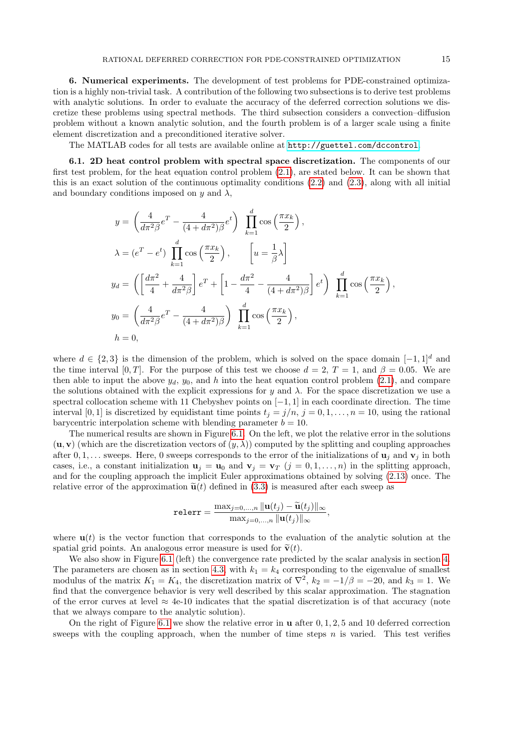<span id="page-15-0"></span>6. Numerical experiments. The development of test problems for PDE-constrained optimization is a highly non-trivial task. A contribution of the following two subsections is to derive test problems with analytic solutions. In order to evaluate the accuracy of the deferred correction solutions we discretize these problems using spectral methods. The third subsection considers a convection–diffusion problem without a known analytic solution, and the fourth problem is of a larger scale using a finite element discretization and a preconditioned iterative solver.

The MATLAB codes for all tests are available online at <http://guettel.com/dccontrol>.

6.1. 2D heat control problem with spectral space discretization. The components of our first test problem, for the heat equation control problem [\(2.1\)](#page-2-2), are stated below. It can be shown that this is an exact solution of the continuous optimality conditions [\(2.2\)](#page-2-0) and [\(2.3\)](#page-2-1), along with all initial and boundary conditions imposed on y and  $\lambda$ ,

$$
y = \left(\frac{4}{d\pi^2 \beta} e^T - \frac{4}{(4 + d\pi^2)\beta} e^t\right) \prod_{k=1}^d \cos\left(\frac{\pi x_k}{2}\right),
$$
  
\n
$$
\lambda = (e^T - e^t) \prod_{k=1}^d \cos\left(\frac{\pi x_k}{2}\right), \qquad \left[u = \frac{1}{\beta}\lambda\right]
$$
  
\n
$$
y_d = \left(\left[\frac{d\pi^2}{4} + \frac{4}{d\pi^2 \beta}\right] e^T + \left[1 - \frac{d\pi^2}{4} - \frac{4}{(4 + d\pi^2)\beta}\right] e^t\right) \prod_{k=1}^d \cos\left(\frac{\pi x_k}{2}\right),
$$
  
\n
$$
y_0 = \left(\frac{4}{d\pi^2 \beta} e^T - \frac{4}{(4 + d\pi^2)\beta}\right) \prod_{k=1}^d \cos\left(\frac{\pi x_k}{2}\right),
$$
  
\n
$$
h = 0,
$$

where  $d \in \{2,3\}$  is the dimension of the problem, which is solved on the space domain  $[-1,1]^d$  and the time interval [0, T]. For the purpose of this test we choose  $d = 2, T = 1$ , and  $\beta = 0.05$ . We are then able to input the above  $y_d$ ,  $y_0$ , and h into the heat equation control problem [\(2.1\)](#page-2-2), and compare the solutions obtained with the explicit expressions for y and  $\lambda$ . For the space discretization we use a spectral collocation scheme with 11 Chebyshev points on  $[-1, 1]$  in each coordinate direction. The time interval [0, 1] is discretized by equidistant time points  $t_j = j/n$ ,  $j = 0, 1, \ldots, n = 10$ , using the rational barycentric interpolation scheme with blending parameter  $b = 10$ .

The numerical results are shown in Figure [6.1.](#page-15-0) On the left, we plot the relative error in the solutions  $(\mathbf{u}, \mathbf{v})$  (which are the discretization vectors of  $(y, \lambda)$ ) computed by the splitting and coupling approaches after  $0, 1, \ldots$  sweeps. Here, 0 sweeps corresponds to the error of the initializations of  $\mathbf{u}_i$  and  $\mathbf{v}_i$  in both cases, i.e., a constant initialization  $\mathbf{u}_i = \mathbf{u}_0$  and  $\mathbf{v}_i = \mathbf{v}_T$   $(j = 0, 1, \ldots, n)$  in the splitting approach, and for the coupling approach the implicit Euler approximations obtained by solving [\(2.13\)](#page-5-0) once. The relative error of the approximation  $\tilde{\mathbf{u}}(t)$  defined in [\(3.3\)](#page-6-8) is measured after each sweep as

$$
\text{relerr} = \frac{\max_{j=0,\dots,n} ||\mathbf{u}(t_j) - \widetilde{\mathbf{u}}(t_j)||_{\infty}}{\max_{j=0,\dots,n} ||\mathbf{u}(t_j)||_{\infty}},
$$

where  $\mathbf{u}(t)$  is the vector function that corresponds to the evaluation of the analytic solution at the spatial grid points. An analogous error measure is used for  $\tilde{\mathbf{v}}(t)$ .

We also show in Figure [6.1](#page-15-0) (left) the convergence rate predicted by the scalar analysis in section [4.](#page-9-0) The parameters are chosen as in section [4.3,](#page-11-0) with  $k_1 = k_4$  corresponding to the eigenvalue of smallest modulus of the matrix  $K_1 = K_4$ , the discretization matrix of  $\nabla^2$ ,  $k_2 = -1/\beta = -20$ , and  $k_3 = 1$ . We find that the convergence behavior is very well described by this scalar approximation. The stagnation of the error curves at level  $\approx 4e$ -10 indicates that the spatial discretization is of that accuracy (note that we always compare to the analytic solution).

On the right of Figure [6.1](#page-15-0) we show the relative error in  $\bf{u}$  after 0, 1, 2, 5 and 10 deferred correction sweeps with the coupling approach, when the number of time steps  $n$  is varied. This test verifies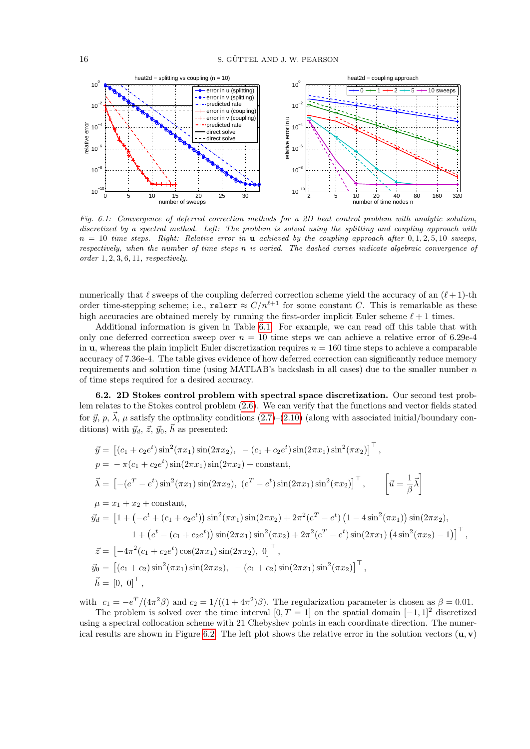<span id="page-16-0"></span>

Fig. 6.1: Convergence of deferred correction methods for a 2D heat control problem with analytic solution, discretized by a spectral method. Left: The problem is solved using the splitting and coupling approach with  $n = 10$  time steps. Right: Relative error in **u** achieved by the coupling approach after  $0, 1, 2, 5, 10$  sweeps, respectively, when the number of time steps n is varied. The dashed curves indicate algebraic convergence of order 1, 2, 3, 6, 11, respectively.

numerically that  $\ell$  sweeps of the coupling deferred correction scheme yield the accuracy of an  $(\ell+1)$ -th order time-stepping scheme; i.e., relerr  $\approx C/n^{\ell+1}$  for some constant C. This is remarkable as these high accuracies are obtained merely by running the first-order implicit Euler scheme  $\ell + 1$  times.

Additional information is given in Table [6.1.](#page-16-0) For example, we can read off this table that with only one deferred correction sweep over  $n = 10$  time steps we can achieve a relative error of 6.29e-4 in **u**, whereas the plain implicit Euler discretization requires  $n = 160$  time steps to achieve a comparable accuracy of 7.36e-4. The table gives evidence of how deferred correction can significantly reduce memory requirements and solution time (using MATLAB's backslash in all cases) due to the smaller number  $n$ of time steps required for a desired accuracy.

6.2. 2D Stokes control problem with spectral space discretization. Our second test problem relates to the Stokes control problem [\(2.6\)](#page-3-2). We can verify that the functions and vector fields stated for  $\vec{y}, p, \vec{\lambda}, \mu$  satisfy the optimality conditions  $(2.7)$ – $(2.10)$  (along with associated initial/boundary conditions) with  $\vec{y}_d, \vec{z}, \vec{y}_0, \vec{h}$  as presented:

$$
\vec{y} = \left[ (c_1 + c_2 e^t) \sin^2(\pi x_1) \sin(2\pi x_2), - (c_1 + c_2 e^t) \sin(2\pi x_1) \sin^2(\pi x_2) \right]^+,
$$
\n
$$
p = -\pi (c_1 + c_2 e^t) \sin(2\pi x_1) \sin(2\pi x_2) + \text{constant},
$$
\n
$$
\vec{\lambda} = \left[ -(e^T - e^t) \sin^2(\pi x_1) \sin(2\pi x_2), (e^T - e^t) \sin(2\pi x_1) \sin^2(\pi x_2) \right]^{\top}, \qquad \left[ \vec{u} = \frac{1}{\beta} \vec{\lambda} \right]
$$
\n
$$
\mu = x_1 + x_2 + \text{constant},
$$
\n
$$
\vec{y}_d = \left[ 1 + \left( -e^t + (c_1 + c_2 e^t) \right) \sin^2(\pi x_1) \sin(2\pi x_2) + 2\pi^2 (e^T - e^t) \left( 1 - 4 \sin^2(\pi x_1) \right) \sin(2\pi x_2),
$$
\n
$$
1 + \left( e^t - (c_1 + c_2 e^t) \right) \sin(2\pi x_1) \sin^2(\pi x_2) + 2\pi^2 (e^T - e^t) \sin(2\pi x_1) \left( 4 \sin^2(\pi x_2) - 1 \right) \right]^{\top},
$$
\n
$$
\vec{z} = \left[ -4\pi^2 (c_1 + c_2 e^t) \cos(2\pi x_1) \sin(2\pi x_2), 0 \right]^{\top},
$$
\n
$$
\vec{y}_0 = \left[ (c_1 + c_2) \sin^2(\pi x_1) \sin(2\pi x_2), - (c_1 + c_2) \sin(2\pi x_1) \sin^2(\pi x_2) \right]^{\top},
$$
\n
$$
\vec{h} = \left[ 0, 0 \right]^{\top},
$$

with  $c_1 = -e^T/(4\pi^2\beta)$  and  $c_2 = 1/((1+4\pi^2)\beta)$ . The regularization parameter is chosen as  $\beta = 0.01$ .

The problem is solved over the time interval  $[0, T = 1]$  on the spatial domain  $[-1, 1]^2$  discretized using a spectral collocation scheme with 21 Chebyshev points in each coordinate direction. The numer-ical results are shown in Figure [6.2.](#page-17-0) The left plot shows the relative error in the solution vectors  $(\mathbf{u}, \mathbf{v})$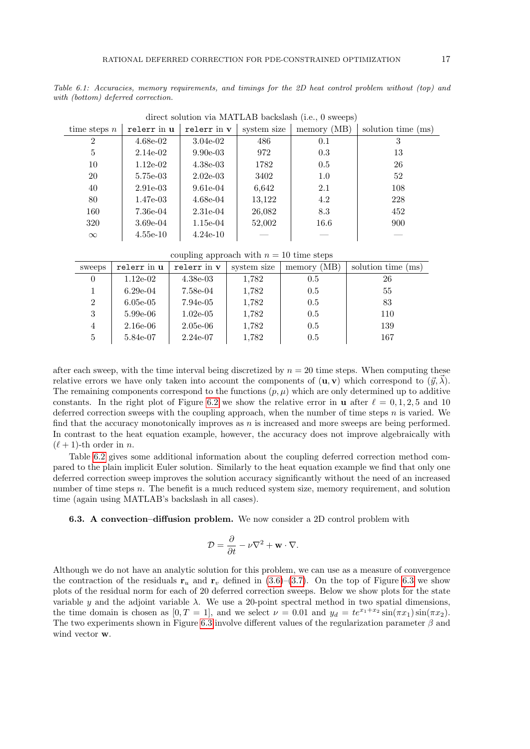<span id="page-17-0"></span>Table 6.1: Accuracies, memory requirements, and timings for the 2D heat control problem without (top) and with (bottom) deferred correction.

| time steps $n$ | relerr in u | relerr in v | system size | memory (MB) | solution time (ms) |  |  |  |
|----------------|-------------|-------------|-------------|-------------|--------------------|--|--|--|
| 2              | $4.68e-02$  | $3.04e-02$  | 486         | 0.1         | 3                  |  |  |  |
| 5              | $2.14e-02$  | $9.90e-03$  | 972         | 0.3         | 13                 |  |  |  |
| 10             | $1.12e-02$  | $4.38e-03$  | 1782        | 0.5         | 26                 |  |  |  |
| 20             | $5.75e-03$  | $2.02e-03$  | 3402        | 1.0         | 52                 |  |  |  |
| 40             | $2.91e-03$  | $9.61e-04$  | 6,642       | 2.1         | 108                |  |  |  |
| 80             | $1.47e-03$  | $4.68e-04$  | 13,122      | 4.2         | 228                |  |  |  |
| 160            | 7.36e-04    | $2.31e-04$  | 26,082      | 8.3         | 452                |  |  |  |
| 320            | $3.69e-04$  | $1.15e-04$  | 52,002      | 16.6        | 900                |  |  |  |
| $\infty$       | $4.55e-10$  | $4.24e-10$  |             |             |                    |  |  |  |

direct solution via MATLAB backslash (i.e., 0 sweeps)

coupling approach with  $n = 10$  time steps

<span id="page-17-1"></span>

| sweeps         | relerr in u | relerr in v | system size | memory (MB) | solution time (ms) |
|----------------|-------------|-------------|-------------|-------------|--------------------|
| $\Omega$       | $1.12e-02$  | $4.38e-03$  | 1,782       | 0.5         | 26                 |
|                | $6.29e-04$  | 7.58e-04    | 1,782       | 0.5         | 55                 |
| $\overline{2}$ | $6.05e-05$  | $7.94e-05$  | 1,782       | 0.5         | 83                 |
| 3              | $5.99e-06$  | $1.02e-05$  | 1,782       | 0.5         | 110                |
| 4              | $2.16e-06$  | $2.05e-06$  | 1,782       | 0.5         | 139                |
| 5              | 5.84e-07    | $2.24e-07$  | 1,782       | 0.5         | 167                |

after each sweep, with the time interval being discretized by  $n = 20$  time steps. When computing these relative errors we have only taken into account the components of  $(\mathbf{u}, \mathbf{v})$  which correspond to  $(\vec{y}, \lambda)$ . The remaining components correspond to the functions  $(p, \mu)$  which are only determined up to additive constants. In the right plot of Figure [6.2](#page-17-0) we show the relative error in **u** after  $\ell = 0, 1, 2, 5$  and 10 deferred correction sweeps with the coupling approach, when the number of time steps  $n$  is varied. We find that the accuracy monotonically improves as  $n$  is increased and more sweeps are being performed. In contrast to the heat equation example, however, the accuracy does not improve algebraically with  $(\ell+1)$ -th order in *n*.

Table [6.2](#page-17-1) gives some additional information about the coupling deferred correction method compared to the plain implicit Euler solution. Similarly to the heat equation example we find that only one deferred correction sweep improves the solution accuracy significantly without the need of an increased number of time steps  $n$ . The benefit is a much reduced system size, memory requirement, and solution time (again using MATLAB's backslash in all cases).

6.3. A convection–diffusion problem. We now consider a 2D control problem with

$$
\mathcal{D} = \frac{\partial}{\partial t} - \nu \nabla^2 + \mathbf{w} \cdot \nabla.
$$

Although we do not have an analytic solution for this problem, we can use as a measure of convergence the contraction of the residuals  $\mathbf{r}_u$  and  $\mathbf{r}_v$  defined in [\(3.6\)](#page-6-6)–[\(3.7\)](#page-6-9). On the top of Figure [6.3](#page-18-0) we show plots of the residual norm for each of 20 deferred correction sweeps. Below we show plots for the state variable y and the adjoint variable  $\lambda$ . We use a 20-point spectral method in two spatial dimensions, the time domain is chosen as  $[0, T = 1]$ , and we select  $\nu = 0.01$  and  $y_d = te^{x_1+x_2} \sin(\pi x_1) \sin(\pi x_2)$ . The two experiments shown in Figure [6.3](#page-18-0) involve different values of the regularization parameter  $\beta$  and wind vector w.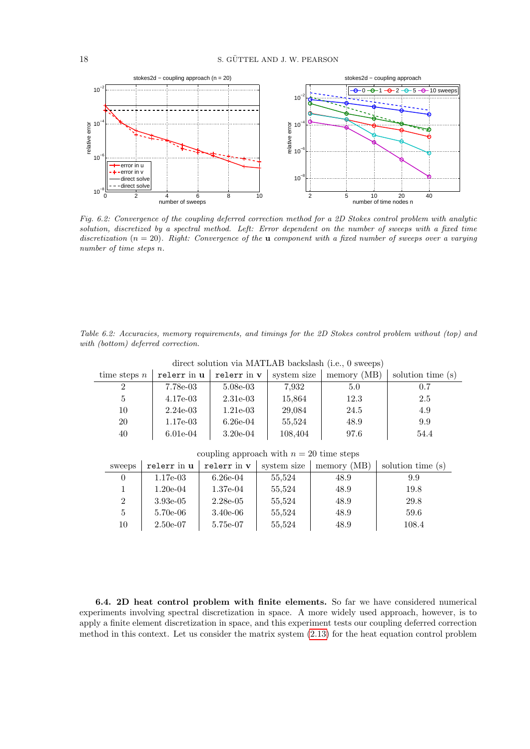<span id="page-18-0"></span>

Fig. 6.2: Convergence of the coupling deferred correction method for a 2D Stokes control problem with analytic solution, discretized by a spectral method. Left: Error dependent on the number of sweeps with a fixed time discretization  $(n = 20)$ . Right: Convergence of the **u** component with a fixed number of sweeps over a varying number of time steps n.

Table 6.2: Accuracies, memory requirements, and timings for the 2D Stokes control problem without (top) and with (bottom) deferred correction.

| time steps $n$ | relerr in u | relerr in v | system size | memory (MB) | solution time (s) |
|----------------|-------------|-------------|-------------|-------------|-------------------|
| $\overline{2}$ | $7.78e-03$  | $5.08e-03$  | 7,932       | 5.0         | 0.7               |
| $\frac{5}{2}$  | $4.17e-03$  | $2.31e-03$  | 15,864      | 12.3        | 2.5               |
| 10             | $2.24e-03$  | $1.21e-03$  | 29,084      | 24.5        | 4.9               |
| 20             | $1.17e-03$  | $6.26e-04$  | 55,524      | 48.9        | 9.9               |
| 40             | $6.01e-04$  | $3.20e-04$  | 108,404     | 97.6        | 54.4              |
|                |             |             |             |             |                   |

direct solution via MATLAB backslash (i.e., 0 sweeps)

coupling approach with  $n=20$  time steps

| sweeps | relerr in u | relerr in v | system size | (MB)<br>memory | solution time (s) |
|--------|-------------|-------------|-------------|----------------|-------------------|
|        | $1.17e-03$  | $6.26e-04$  | 55,524      | 48.9           | 9.9               |
|        | $1.20e-0.4$ | $1.37e-04$  | 55,524      | 48.9           | 19.8              |
| 2      | $3.93e-05$  | $2.28e-0.5$ | 55,524      | 48.9           | 29.8              |
| 5      | $5.70e-06$  | $3.40e-06$  | 55.524      | 48.9           | 59.6              |
| 10     | $2.50e-07$  | 5.75e-07    | 55,524      | 48.9           | 108.4             |

6.4. 2D heat control problem with finite elements. So far we have considered numerical experiments involving spectral discretization in space. A more widely used approach, however, is to apply a finite element discretization in space, and this experiment tests our coupling deferred correction method in this context. Let us consider the matrix system [\(2.13\)](#page-5-0) for the heat equation control problem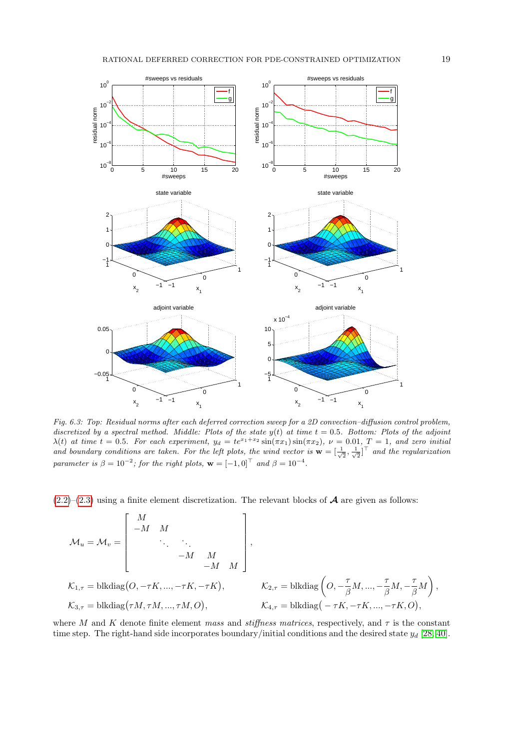

Fig. 6.3: Top: Residual norms after each deferred correction sweep for a 2D convection–diffusion control problem, discretized by a spectral method. Middle: Plots of the state  $y(t)$  at time  $t = 0.5$ . Bottom: Plots of the adjoint  $\lambda(t)$  at time  $t = 0.5$ . For each experiment,  $y_d = te^{x_1+x_2} \sin(\pi x_1) \sin(\pi x_2)$ ,  $\nu = 0.01$ ,  $T = 1$ , and zero initial and boundary conditions are taken. For the left plots, the wind vector is  $\mathbf{w} = [\frac{1}{\sqrt{2}}, \frac{1}{\sqrt{2}}]^\top$  and the regularization parameter is  $\beta = 10^{-2}$ ; for the right plots,  $\mathbf{w} = [-1, 0]^\top$  and  $\beta = 10^{-4}$ .

 $(2.2)$ – $(2.3)$  using a finite element discretization. The relevant blocks of **A** are given as follows:

$$
\mathcal{M}_u = \mathcal{M}_v = \begin{bmatrix} M & & & & \\ -M & M & & & \\ & \ddots & \ddots & & \\ & & -M & M & \\ & & & -M & M \end{bmatrix},
$$
\n
$$
\mathcal{K}_{1,\tau} = \text{blkdiag}(O, -\tau K, ..., -\tau K, -\tau K), \qquad \qquad \mathcal{K}_{2,\tau} = \text{blkdiag}\left(O, -\frac{\tau}{\beta} M, ..., -\frac{\tau}{\beta} M, -\frac{\tau}{\beta} M\right),
$$
\n
$$
\mathcal{K}_{3,\tau} = \text{blkdiag}(\tau M, \tau M, ..., \tau M, O), \qquad \qquad \mathcal{K}_{4,\tau} = \text{blkdiag}(-\tau K, -\tau K, ..., -\tau K, O),
$$

<span id="page-19-0"></span>where M and K denote finite element mass and stiffness matrices, respectively, and  $\tau$  is the constant time step. The right-hand side incorporates boundary/initial conditions and the desired state  $y_d$  [\[28,](#page-22-11) [40\]](#page-22-22).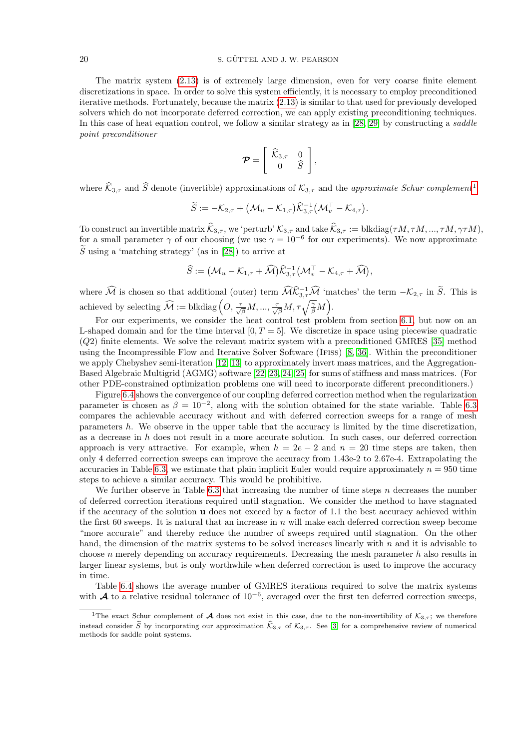<span id="page-20-1"></span>The matrix system [\(2.13\)](#page-5-0) is of extremely large dimension, even for very coarse finite element discretizations in space. In order to solve this system efficiently, it is necessary to employ preconditioned iterative methods. Fortunately, because the matrix [\(2.13\)](#page-5-0) is similar to that used for previously developed solvers which do not incorporate deferred correction, we can apply existing preconditioning techniques. In this case of heat equation control, we follow a similar strategy as in [\[28,](#page-22-11) [29\]](#page-22-23) by constructing a saddle point preconditioner

$$
\boldsymbol{\mathcal{P}} = \left[ \begin{array}{cc} \widehat{\mathcal{K}}_{3,\tau} & 0 \\ 0 & \widehat{S} \end{array} \right],
$$

where  $\widehat{K}_{3,\tau}$  and  $\widehat{S}$  denote (invertible) approximations of  $\mathcal{K}_{3,\tau}$  and the *approximate Schur complement*<sup>[1](#page-19-0)</sup>

$$
\widetilde{S} := -\mathcal{K}_{2,\tau} + \left(\mathcal{M}_u - \mathcal{K}_{1,\tau}\right) \widehat{\mathcal{K}}_{3,\tau}^{-1} \left(\mathcal{M}_v^{\top} - \mathcal{K}_{4,\tau}\right).
$$

To construct an invertible matrix  $\mathcal{K}_{3,\tau}$ , we 'perturb'  $\mathcal{K}_{3,\tau}$  and take  $\mathcal{K}_{3,\tau} := \text{blkdiag}(\tau M, \tau M, ..., \tau M, \gamma \tau M),$ for a small parameter  $\gamma$  of our choosing (we use  $\gamma = 10^{-6}$  for our experiments). We now approximate  $\tilde{S}$  using a 'matching strategy' (as in [\[28\]](#page-22-11)) to arrive at

$$
\widehat{S} := \big(\mathcal{M}_u - \mathcal{K}_{1,\tau} + \widehat{\mathcal{M}}\big)\widehat{\mathcal{K}}_{3,\tau}^{-1} \big(\mathcal{M}_v^{\top} - \mathcal{K}_{4,\tau} + \widehat{\mathcal{M}}\big),
$$

<span id="page-20-2"></span>where  $\widehat{\mathcal{M}}$  is chosen so that additional (outer) term  $\widehat{\mathcal{M}}\widehat{\mathcal{K}}_{3,\tau}^{-1}\widehat{\mathcal{M}}$  'matches' the term  $-\mathcal{K}_{2,\tau}$  in  $\widetilde{S}$ . This is achieved by selecting  $\widehat{\mathcal{M}} := \text{blkdiag}\left(O, \frac{\tau}{\sqrt{\beta}}M, ..., \frac{\tau}{\sqrt{\beta}}M, \tau\sqrt{\frac{\gamma}{\beta}}M\right)$ .

For our experiments, we consider the heat control test problem from section [6.1,](#page-14-1) but now on an L-shaped domain and for the time interval  $[0, T = 5]$ . We discretize in space using piecewise quadratic (Q2) finite elements. We solve the relevant matrix system with a preconditioned GMRES [\[35\]](#page-22-24) method using the Incompressible Flow and Iterative Solver Software (Ifiss) [\[8,](#page-21-12) [36\]](#page-22-25). Within the preconditioner we apply Chebyshev semi-iteration [\[12,](#page-21-13) [13\]](#page-21-14) to approximately invert mass matrices, and the Aggregation-Based Algebraic Multigrid (AGMG) software [\[22,](#page-22-26) [23,](#page-22-27) [24,](#page-22-28) [25\]](#page-22-29) for sums of stiffness and mass matrices. (For other PDE-constrained optimization problems one will need to incorporate different preconditioners.)

Figure [6.4](#page-20-1) shows the convergence of our coupling deferred correction method when the regularization parameter is chosen as  $\beta = 10^{-2}$ , along with the solution obtained for the state variable. Table [6.3](#page-20-2) compares the achievable accuracy without and with deferred correction sweeps for a range of mesh parameters h. We observe in the upper table that the accuracy is limited by the time discretization, as a decrease in h does not result in a more accurate solution. In such cases, our deferred correction approach is very attractive. For example, when  $h = 2e - 2$  and  $n = 20$  time steps are taken, then only 4 deferred correction sweeps can improve the accuracy from 1.43e-2 to 2.67e-4. Extrapolating the accuracies in Table [6.3,](#page-20-2) we estimate that plain implicit Euler would require approximately  $n = 950$  time steps to achieve a similar accuracy. This would be prohibitive.

We further observe in Table [6.3](#page-20-2) that increasing the number of time steps  $n$  decreases the number of deferred correction iterations required until stagnation. We consider the method to have stagnated if the accuracy of the solution u does not exceed by a factor of 1.1 the best accuracy achieved within the first 60 sweeps. It is natural that an increase in n will make each deferred correction sweep become "more accurate" and thereby reduce the number of sweeps required until stagnation. On the other hand, the dimension of the matrix systems to be solved increases linearly with  $n$  and it is advisable to choose n merely depending on accuracy requirements. Decreasing the mesh parameter h also results in larger linear systems, but is only worthwhile when deferred correction is used to improve the accuracy in time.

<span id="page-20-0"></span>Table [6.4](#page-21-15) shows the average number of GMRES iterations required to solve the matrix systems with **A** to a relative residual tolerance of  $10^{-6}$ , averaged over the first ten deferred correction sweeps,

<sup>&</sup>lt;sup>1</sup>The exact Schur complement of **A** does not exist in this case, due to the non-invertibility of  $K_{3,7}$ ; we therefore instead consider  $\tilde{S}$  by incorporating our approximation  $\hat{K}_{3,\tau}$  of  $\hat{K}_{3,\tau}$ . See [\[3\]](#page-21-16) for a comprehensive review of numerical methods for saddle point systems.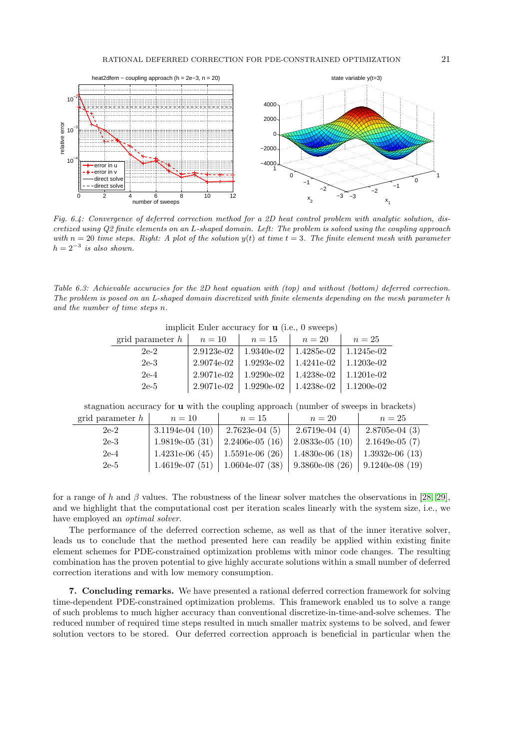<span id="page-21-15"></span>

Fig. 6.4: Convergence of deferred correction method for a 2D heat control problem with analytic solution, discretized using Q2 finite elements on an L-shaped domain. Left: The problem is solved using the coupling approach with  $n = 20$  time steps. Right: A plot of the solution  $y(t)$  at time  $t = 3$ . The finite element mesh with parameter  $h = 2^{-3}$  is also shown.

Table 6.3: Achievable accuracies for the 2D heat equation with (top) and without (bottom) deferred correction. The problem is posed on an L-shaped domain discretized with finite elements depending on the mesh parameter h and the number of time steps n.

| grid parameter $h$ | $n=10$     | $n=15$       | $n=20$     | $n=25$       |
|--------------------|------------|--------------|------------|--------------|
| $2e-2$             | 2.9123e-02 | 1.9340e-02   | 1.4285e-02 | 1.1245e-02   |
| $2e-3$             | 2.9074e-02 | 1.9293e-02   | 1.4241e-02 | $1.1203e-02$ |
| $2e-4$             | 2.9071e-02 | $1.9290e-02$ | 1.4238e-02 | $1.1201e-02$ |
| $2e-5$             | 2.9071e-02 | 1.9290e-02   | 1.4238e-02 | 1.1200e-02   |

implicit Euler accuracy for u (i.e., 0 sweeps)

<span id="page-21-1"></span>stagnation accuracy for u with the coupling approach (number of sweeps in brackets)

<span id="page-21-16"></span><span id="page-21-7"></span><span id="page-21-4"></span><span id="page-21-3"></span>

| grid parameter $h$ | $n=10$            | $n=15$                            | $n=20$           | $n=25$            |
|--------------------|-------------------|-----------------------------------|------------------|-------------------|
| $2e-2$             | $3.1194e-04(10)$  | $2.7623e-04(5)$                   | $2.6719e-04(4)$  | $2.8705e-04(3)$   |
| $2e-3$             | $1.9819e-05(31)$  | $2.2406e-05(16)$                  | $2.0833e-05(10)$ | $2.1649e-05(7)$   |
| $2e-4$             | 1.4231e-06 $(45)$ | 1.5591e-06 (26)   1.4830e-06 (18) |                  | $1.3932e-06$ (13) |
| $2e-5$             | $1.4619e-07(51)$  | 1.0604e-07 (38)   9.3860e-08 (26) |                  | $9.1240e-08(19)$  |

<span id="page-21-12"></span><span id="page-21-8"></span><span id="page-21-2"></span>for a range of h and  $\beta$  values. The robustness of the linear solver matches the observations in [\[28,](#page-22-11) [29\]](#page-22-23), and we highlight that the computational cost per iteration scales linearly with the system size, i.e., we have employed an optimal solver.

<span id="page-21-11"></span><span id="page-21-9"></span><span id="page-21-5"></span>The performance of the deferred correction scheme, as well as that of the inner iterative solver, leads us to conclude that the method presented here can readily be applied within existing finite element schemes for PDE-constrained optimization problems with minor code changes. The resulting combination has the proven potential to give highly accurate solutions within a small number of deferred correction iterations and with low memory consumption.

<span id="page-21-14"></span><span id="page-21-13"></span><span id="page-21-10"></span><span id="page-21-6"></span><span id="page-21-0"></span>7. Concluding remarks. We have presented a rational deferred correction framework for solving time-dependent PDE-constrained optimization problems. This framework enabled us to solve a range of such problems to much higher accuracy than conventional discretize-in-time-and-solve schemes. The reduced number of required time steps resulted in much smaller matrix systems to be solved, and fewer solution vectors to be stored. Our deferred correction approach is beneficial in particular when the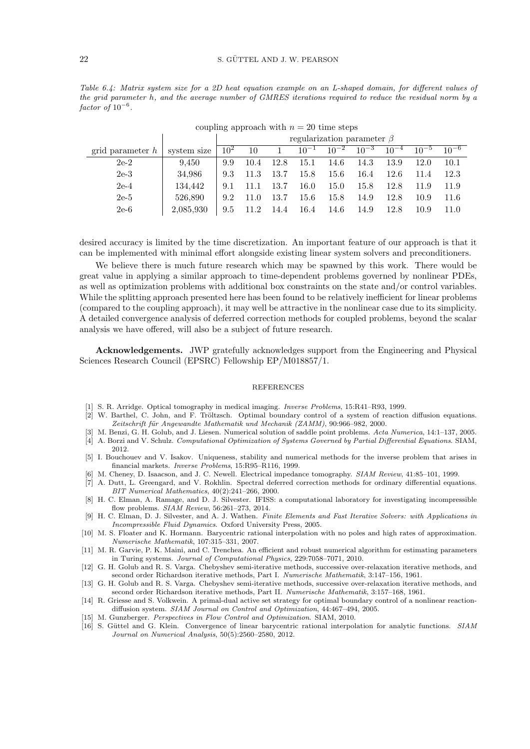### 22 S. GÜTTEL AND J. W. PEARSON

<span id="page-22-17"></span><span id="page-22-8"></span><span id="page-22-0"></span>Table 6.4: Matrix system size for a 2D heat equation example on an L-shaped domain, for different values of the grid parameter h, and the average number of GMRES iterations required to reduce the residual norm by a  $factor of 10^{-6}.$ 

<span id="page-22-27"></span><span id="page-22-26"></span><span id="page-22-7"></span><span id="page-22-6"></span>

|                    |             | regularization parameter $\beta$ |      |      |           |           |           |           |           |           |
|--------------------|-------------|----------------------------------|------|------|-----------|-----------|-----------|-----------|-----------|-----------|
| grid parameter $h$ | system size | 10 <sup>2</sup>                  | 10   |      | $10^{-1}$ | $10^{-2}$ | $10^{-3}$ | $10^{-4}$ | $10^{-5}$ | $10^{-6}$ |
| $2e-2$             | 9.450       | 9.9                              | 10.4 | 12.8 | 15.1      | 14.6      | 14.3      | 13.9      | 12.0      | 10.1      |
| $2e-3$             | 34,986      | 9.3                              | 11.3 | 13.7 | 15.8      | 15.6      | 16.4      | 12.6      | 11.4      | 12.3      |
| $2e-4$             | 134.442     | 9.1                              |      | 13.7 | 16.0      | 15.0      | 15.8      | 12.8      | 11.9      | 11.9      |
| $2e-5$             | 526.890     | 9.2                              | 11.0 | 13.7 | 15.6      | 15.8      | 14.9      | 12.8      | 10.9      | 11.6      |
| $2e-6$             | 2,085,930   | 9.5                              |      | 14.4 | 16.4      | 14.6      | 14.9      | 12.8      | 10.9      | 11.0      |

coupling approach with  $n = 20$  time steps

<span id="page-22-29"></span><span id="page-22-28"></span><span id="page-22-10"></span><span id="page-22-9"></span>desired accuracy is limited by the time discretization. An important feature of our approach is that it can be implemented with minimal effort alongside existing linear system solvers and preconditioners.

<span id="page-22-23"></span><span id="page-22-18"></span><span id="page-22-11"></span>We believe there is much future research which may be spawned by this work. There would be great value in applying a similar approach to time-dependent problems governed by nonlinear PDEs, as well as optimization problems with additional box constraints on the state and/or control variables. While the splitting approach presented here has been found to be relatively inefficient for linear problems (compared to the coupling approach), it may well be attractive in the nonlinear case due to its simplicity. A detailed convergence analysis of deferred correction methods for coupled problems, beyond the scalar analysis we have offered, will also be a subject of future research.

<span id="page-22-24"></span><span id="page-22-21"></span><span id="page-22-20"></span><span id="page-22-5"></span><span id="page-22-4"></span>Acknowledgements. JWP gratefully acknowledges support from the Engineering and Physical Sciences Research Council (EPSRC) Fellowship EP/M018857/1.

#### **REFERENCES**

- <span id="page-22-25"></span><span id="page-22-12"></span>[1] S. R. Arridge. Optical tomography in medical imaging. Inverse Problems, 15:R41–R93, 1999.
- <span id="page-22-13"></span>[2] W. Barthel, C. John, and F. Tröltzsch. Optimal boundary control of a system of reaction diffusion equations. Zeitschrift für Angewandte Mathematik und Mechanik (ZAMM), 90:966-982, 2000.
- <span id="page-22-14"></span>[3] M. Benzi, G. H. Golub, and J. Liesen. Numerical solution of saddle point problems. Acta Numerica, 14:1–137, 2005. [4] A. Borzi and V. Schulz. Computational Optimization of Systems Governed by Partial Differential Equations. SIAM, 2012.
- <span id="page-22-22"></span>[5] I. Bouchouev and V. Isakov. Uniqueness, stability and numerical methods for the inverse problem that arises in financial markets. Inverse Problems, 15:R95–R116, 1999.
- <span id="page-22-15"></span>[6] M. Cheney, D. Isaacson, and J. C. Newell. Electrical impedance tomography. SIAM Review, 41:85–101, 1999.
- <span id="page-22-1"></span>[7] A. Dutt, L. Greengard, and V. Rokhlin. Spectral deferred correction methods for ordinary differential equations. BIT Numerical Mathematics, 40(2):241–266, 2000.
- <span id="page-22-2"></span>[8] H. C. Elman, A. Ramage, and D. J. Silvester. IFISS: a computational laboratory for investigating incompressible flow problems. SIAM Review, 56:261–273, 2014.
- [9] H. C. Elman, D. J. Silvester, and A. J. Wathen. Finite Elements and Fast Iterative Solvers: with Applications in Incompressible Fluid Dynamics. Oxford University Press, 2005.
- <span id="page-22-3"></span>[10] M. S. Floater and K. Hormann. Barycentric rational interpolation with no poles and high rates of approximation. Numerische Mathematik, 107:315–331, 2007.
- <span id="page-22-16"></span>[11] M. R. Garvie, P. K. Maini, and C. Trenchea. An efficient and robust numerical algorithm for estimating parameters in Turing systems. Journal of Computational Physics, 229:7058–7071, 2010.
- <span id="page-22-19"></span>[12] G. H. Golub and R. S. Varga. Chebyshev semi-iterative methods, successive over-relaxation iterative methods, and second order Richardson iterative methods, Part I. Numerische Mathematik, 3:147–156, 1961.
- [13] G. H. Golub and R. S. Varga. Chebyshev semi-iterative methods, successive over-relaxation iterative methods, and second order Richardson iterative methods, Part II. Numerische Mathematik, 3:157–168, 1961.
- [14] R. Griesse and S. Volkwein. A primal-dual active set strategy for optimal boundary control of a nonlinear reactiondiffusion system. SIAM Journal on Control and Optimization, 44:467–494, 2005.
- [15] M. Gunzberger. Perspectives in Flow Control and Optimization. SIAM, 2010.
- [16] S. Güttel and G. Klein. Convergence of linear barycentric rational interpolation for analytic functions. SIAM Journal on Numerical Analysis, 50(5):2560–2580, 2012.